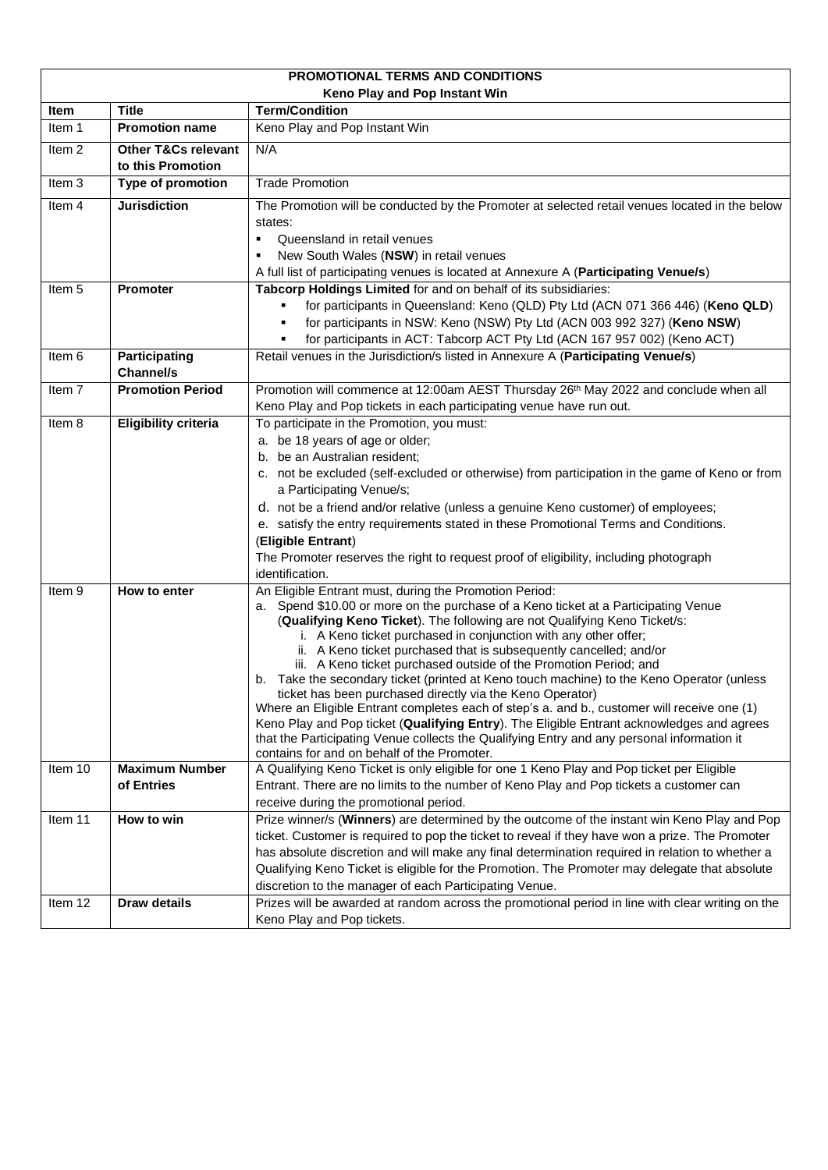<span id="page-0-6"></span><span id="page-0-5"></span><span id="page-0-4"></span><span id="page-0-3"></span><span id="page-0-2"></span><span id="page-0-1"></span><span id="page-0-0"></span>

| PROMOTIONAL TERMS AND CONDITIONS |                                |                                                                                                                                           |  |  |  |  |  |
|----------------------------------|--------------------------------|-------------------------------------------------------------------------------------------------------------------------------------------|--|--|--|--|--|
| Keno Play and Pop Instant Win    |                                |                                                                                                                                           |  |  |  |  |  |
| Item                             | <b>Title</b>                   | <b>Term/Condition</b>                                                                                                                     |  |  |  |  |  |
| Item 1                           | <b>Promotion name</b>          | Keno Play and Pop Instant Win                                                                                                             |  |  |  |  |  |
| Item <sub>2</sub>                | <b>Other T&amp;Cs relevant</b> | N/A                                                                                                                                       |  |  |  |  |  |
|                                  | to this Promotion              |                                                                                                                                           |  |  |  |  |  |
| Item 3                           | Type of promotion              | <b>Trade Promotion</b>                                                                                                                    |  |  |  |  |  |
| Item 4                           | <b>Jurisdiction</b>            | The Promotion will be conducted by the Promoter at selected retail venues located in the below                                            |  |  |  |  |  |
|                                  |                                | states:                                                                                                                                   |  |  |  |  |  |
|                                  |                                | Queensland in retail venues<br>$\blacksquare$                                                                                             |  |  |  |  |  |
|                                  |                                | New South Wales (NSW) in retail venues<br>٠                                                                                               |  |  |  |  |  |
|                                  |                                | A full list of participating venues is located at Annexure A (Participating Venue/s)                                                      |  |  |  |  |  |
| Item 5                           | <b>Promoter</b>                | Tabcorp Holdings Limited for and on behalf of its subsidiaries:                                                                           |  |  |  |  |  |
|                                  |                                | for participants in Queensland: Keno (QLD) Pty Ltd (ACN 071 366 446) (Keno QLD)<br>٠                                                      |  |  |  |  |  |
|                                  |                                | for participants in NSW: Keno (NSW) Pty Ltd (ACN 003 992 327) (Keno NSW)                                                                  |  |  |  |  |  |
|                                  |                                | for participants in ACT: Tabcorp ACT Pty Ltd (ACN 167 957 002) (Keno ACT)<br>٠                                                            |  |  |  |  |  |
| Item 6                           | Participating                  | Retail venues in the Jurisdiction/s listed in Annexure A (Participating Venue/s)                                                          |  |  |  |  |  |
|                                  | <b>Channel/s</b>               |                                                                                                                                           |  |  |  |  |  |
| Item 7                           | <b>Promotion Period</b>        | Promotion will commence at 12:00am AEST Thursday 26th May 2022 and conclude when all                                                      |  |  |  |  |  |
|                                  |                                | Keno Play and Pop tickets in each participating venue have run out.                                                                       |  |  |  |  |  |
| Item 8                           | <b>Eligibility criteria</b>    | To participate in the Promotion, you must:                                                                                                |  |  |  |  |  |
|                                  |                                | a. be 18 years of age or older;<br>b. be an Australian resident;                                                                          |  |  |  |  |  |
|                                  |                                |                                                                                                                                           |  |  |  |  |  |
|                                  |                                | c. not be excluded (self-excluded or otherwise) from participation in the game of Keno or from                                            |  |  |  |  |  |
|                                  |                                | a Participating Venue/s;<br>d. not be a friend and/or relative (unless a genuine Keno customer) of employees;                             |  |  |  |  |  |
|                                  |                                | e. satisfy the entry requirements stated in these Promotional Terms and Conditions.                                                       |  |  |  |  |  |
|                                  |                                | (Eligible Entrant)                                                                                                                        |  |  |  |  |  |
|                                  |                                | The Promoter reserves the right to request proof of eligibility, including photograph                                                     |  |  |  |  |  |
|                                  |                                | identification.                                                                                                                           |  |  |  |  |  |
| Item 9                           | How to enter                   | An Eligible Entrant must, during the Promotion Period:                                                                                    |  |  |  |  |  |
|                                  |                                | a. Spend \$10.00 or more on the purchase of a Keno ticket at a Participating Venue                                                        |  |  |  |  |  |
|                                  |                                | (Qualifying Keno Ticket). The following are not Qualifying Keno Ticket/s:                                                                 |  |  |  |  |  |
|                                  |                                | i. A Keno ticket purchased in conjunction with any other offer;                                                                           |  |  |  |  |  |
|                                  |                                | ii. A Keno ticket purchased that is subsequently cancelled; and/or<br>iii. A Keno ticket purchased outside of the Promotion Period; and   |  |  |  |  |  |
|                                  |                                | b. Take the secondary ticket (printed at Keno touch machine) to the Keno Operator (unless                                                 |  |  |  |  |  |
|                                  |                                | ticket has been purchased directly via the Keno Operator)                                                                                 |  |  |  |  |  |
|                                  |                                | Where an Eligible Entrant completes each of step's a. and b., customer will receive one (1)                                               |  |  |  |  |  |
|                                  |                                | Keno Play and Pop ticket (Qualifying Entry). The Eligible Entrant acknowledges and agrees                                                 |  |  |  |  |  |
|                                  |                                | that the Participating Venue collects the Qualifying Entry and any personal information it<br>contains for and on behalf of the Promoter. |  |  |  |  |  |
| Item 10                          | <b>Maximum Number</b>          | A Qualifying Keno Ticket is only eligible for one 1 Keno Play and Pop ticket per Eligible                                                 |  |  |  |  |  |
|                                  | of Entries                     | Entrant. There are no limits to the number of Keno Play and Pop tickets a customer can                                                    |  |  |  |  |  |
|                                  |                                | receive during the promotional period.                                                                                                    |  |  |  |  |  |
| Item 11                          | How to win                     | Prize winner/s (Winners) are determined by the outcome of the instant win Keno Play and Pop                                               |  |  |  |  |  |
|                                  |                                | ticket. Customer is required to pop the ticket to reveal if they have won a prize. The Promoter                                           |  |  |  |  |  |
|                                  |                                | has absolute discretion and will make any final determination required in relation to whether a                                           |  |  |  |  |  |
|                                  |                                | Qualifying Keno Ticket is eligible for the Promotion. The Promoter may delegate that absolute                                             |  |  |  |  |  |
|                                  |                                | discretion to the manager of each Participating Venue.                                                                                    |  |  |  |  |  |
| Item 12                          | <b>Draw details</b>            | Prizes will be awarded at random across the promotional period in line with clear writing on the                                          |  |  |  |  |  |
|                                  |                                | Keno Play and Pop tickets.                                                                                                                |  |  |  |  |  |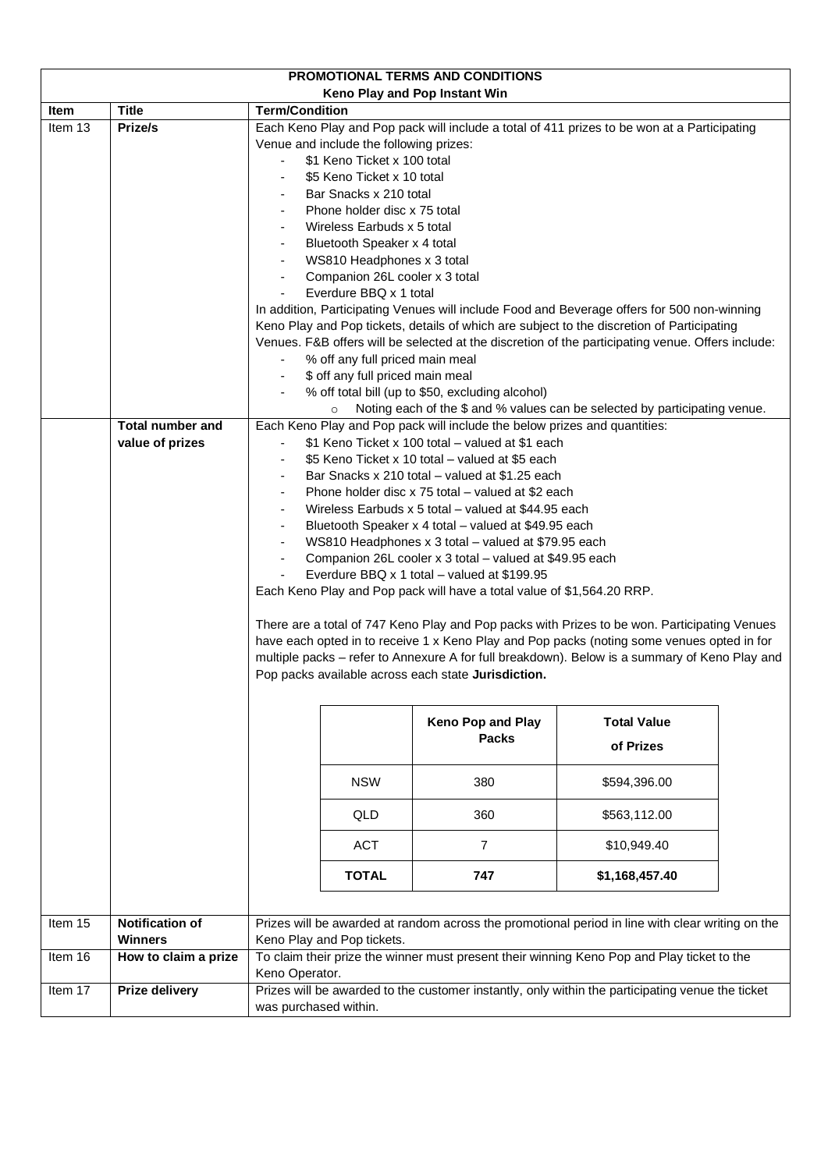<span id="page-1-3"></span><span id="page-1-2"></span><span id="page-1-1"></span><span id="page-1-0"></span>

| PROMOTIONAL TERMS AND CONDITIONS |                                            |                                                                                                                                                                                                                                                                                                                                                                                                                                                                                                                                                                                                                                                                                                                                                                                                                                                                                                                                                                                                                                                                                       |                                                                                                  |  |  |  |  |
|----------------------------------|--------------------------------------------|---------------------------------------------------------------------------------------------------------------------------------------------------------------------------------------------------------------------------------------------------------------------------------------------------------------------------------------------------------------------------------------------------------------------------------------------------------------------------------------------------------------------------------------------------------------------------------------------------------------------------------------------------------------------------------------------------------------------------------------------------------------------------------------------------------------------------------------------------------------------------------------------------------------------------------------------------------------------------------------------------------------------------------------------------------------------------------------|--------------------------------------------------------------------------------------------------|--|--|--|--|
|                                  |                                            | Keno Play and Pop Instant Win                                                                                                                                                                                                                                                                                                                                                                                                                                                                                                                                                                                                                                                                                                                                                                                                                                                                                                                                                                                                                                                         |                                                                                                  |  |  |  |  |
| Item                             | <b>Title</b>                               | <b>Term/Condition</b>                                                                                                                                                                                                                                                                                                                                                                                                                                                                                                                                                                                                                                                                                                                                                                                                                                                                                                                                                                                                                                                                 |                                                                                                  |  |  |  |  |
| Item 13                          | Prize/s                                    | Each Keno Play and Pop pack will include a total of 411 prizes to be won at a Participating<br>Venue and include the following prizes:<br>\$1 Keno Ticket x 100 total<br>\$5 Keno Ticket x 10 total<br>Bar Snacks x 210 total<br>Phone holder disc x 75 total<br>Wireless Earbuds x 5 total<br>Bluetooth Speaker x 4 total<br>WS810 Headphones x 3 total<br>Companion 26L cooler x 3 total<br>Everdure BBQ x 1 total<br>In addition, Participating Venues will include Food and Beverage offers for 500 non-winning<br>Keno Play and Pop tickets, details of which are subject to the discretion of Participating<br>Venues. F&B offers will be selected at the discretion of the participating venue. Offers include:<br>% off any full priced main meal<br>\$ off any full priced main meal<br>% off total bill (up to \$50, excluding alcohol)                                                                                                                                                                                                                                     |                                                                                                  |  |  |  |  |
|                                  |                                            | $\circ$                                                                                                                                                                                                                                                                                                                                                                                                                                                                                                                                                                                                                                                                                                                                                                                                                                                                                                                                                                                                                                                                               |                                                                                                  |  |  |  |  |
|                                  | <b>Total number and</b><br>value of prizes | Noting each of the \$ and % values can be selected by participating venue.<br>Each Keno Play and Pop pack will include the below prizes and quantities:<br>\$1 Keno Ticket x 100 total - valued at \$1 each<br>\$5 Keno Ticket x 10 total - valued at \$5 each<br>Bar Snacks x 210 total – valued at \$1.25 each<br>Phone holder disc x 75 total – valued at \$2 each<br>Wireless Earbuds x 5 total – valued at \$44.95 each<br>Bluetooth Speaker x 4 total - valued at \$49.95 each<br>WS810 Headphones x 3 total - valued at \$79.95 each<br>Companion 26L cooler x 3 total – valued at \$49.95 each<br>Everdure BBQ x 1 total - valued at \$199.95<br>Each Keno Play and Pop pack will have a total value of \$1,564.20 RRP.<br>There are a total of 747 Keno Play and Pop packs with Prizes to be won. Participating Venues<br>have each opted in to receive 1 x Keno Play and Pop packs (noting some venues opted in for<br>multiple packs - refer to Annexure A for full breakdown). Below is a summary of Keno Play and<br>Pop packs available across each state Jurisdiction. |                                                                                                  |  |  |  |  |
|                                  |                                            | <b>Keno Pop and Play</b>                                                                                                                                                                                                                                                                                                                                                                                                                                                                                                                                                                                                                                                                                                                                                                                                                                                                                                                                                                                                                                                              | <b>Total Value</b><br><b>Packs</b><br>of Prizes                                                  |  |  |  |  |
|                                  |                                            | <b>NSW</b><br>380                                                                                                                                                                                                                                                                                                                                                                                                                                                                                                                                                                                                                                                                                                                                                                                                                                                                                                                                                                                                                                                                     | \$594,396.00                                                                                     |  |  |  |  |
|                                  |                                            | QLD<br>360                                                                                                                                                                                                                                                                                                                                                                                                                                                                                                                                                                                                                                                                                                                                                                                                                                                                                                                                                                                                                                                                            | \$563,112.00                                                                                     |  |  |  |  |
|                                  |                                            | <b>ACT</b><br>$\overline{7}$<br>\$10,949.40                                                                                                                                                                                                                                                                                                                                                                                                                                                                                                                                                                                                                                                                                                                                                                                                                                                                                                                                                                                                                                           |                                                                                                  |  |  |  |  |
|                                  |                                            | <b>TOTAL</b><br>747                                                                                                                                                                                                                                                                                                                                                                                                                                                                                                                                                                                                                                                                                                                                                                                                                                                                                                                                                                                                                                                                   | \$1,168,457.40                                                                                   |  |  |  |  |
| Item 15                          | <b>Notification of</b><br><b>Winners</b>   | Keno Play and Pop tickets.                                                                                                                                                                                                                                                                                                                                                                                                                                                                                                                                                                                                                                                                                                                                                                                                                                                                                                                                                                                                                                                            | Prizes will be awarded at random across the promotional period in line with clear writing on the |  |  |  |  |
| Item 16                          | How to claim a prize                       |                                                                                                                                                                                                                                                                                                                                                                                                                                                                                                                                                                                                                                                                                                                                                                                                                                                                                                                                                                                                                                                                                       | To claim their prize the winner must present their winning Keno Pop and Play ticket to the       |  |  |  |  |
|                                  |                                            | Keno Operator.                                                                                                                                                                                                                                                                                                                                                                                                                                                                                                                                                                                                                                                                                                                                                                                                                                                                                                                                                                                                                                                                        |                                                                                                  |  |  |  |  |
| Item 17                          | <b>Prize delivery</b>                      | was purchased within.                                                                                                                                                                                                                                                                                                                                                                                                                                                                                                                                                                                                                                                                                                                                                                                                                                                                                                                                                                                                                                                                 | Prizes will be awarded to the customer instantly, only within the participating venue the ticket |  |  |  |  |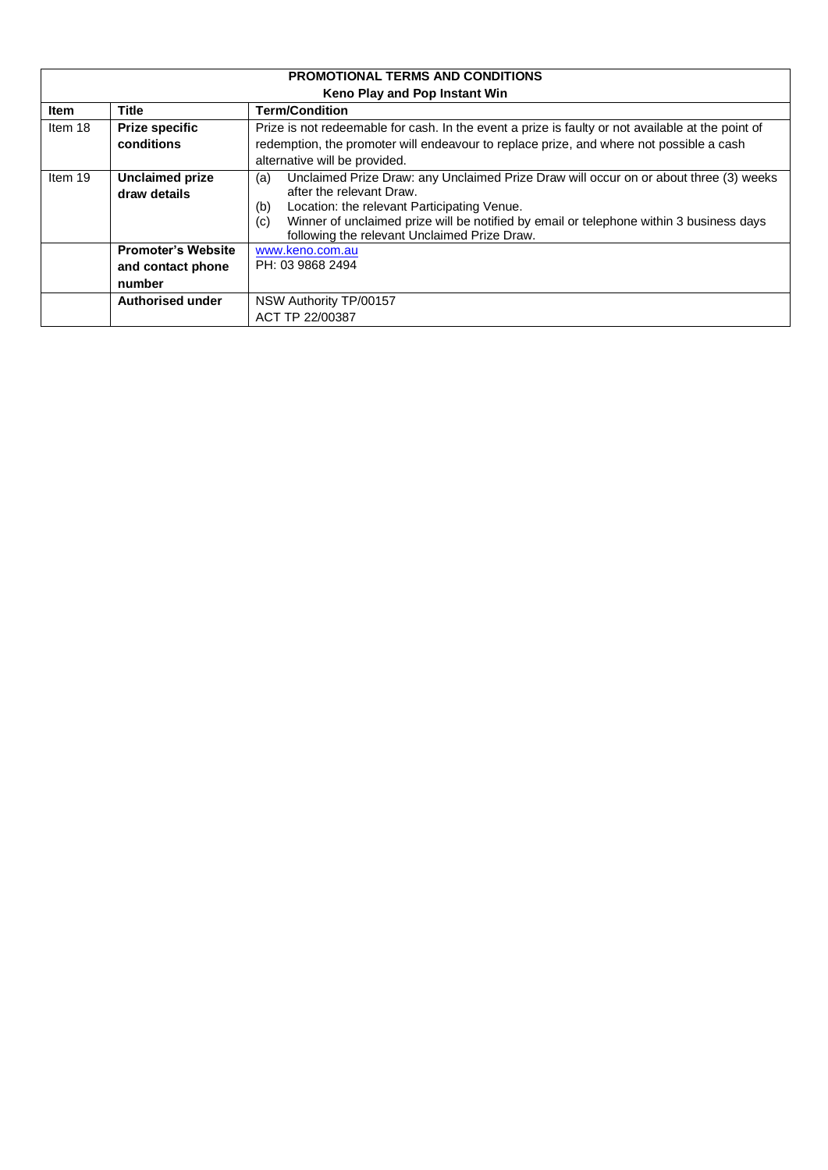<span id="page-2-1"></span><span id="page-2-0"></span>

| <b>PROMOTIONAL TERMS AND CONDITIONS</b> |                                                          |                                                                                                                                                                                                                                                                                                                                  |  |  |  |  |  |
|-----------------------------------------|----------------------------------------------------------|----------------------------------------------------------------------------------------------------------------------------------------------------------------------------------------------------------------------------------------------------------------------------------------------------------------------------------|--|--|--|--|--|
|                                         | Keno Play and Pop Instant Win                            |                                                                                                                                                                                                                                                                                                                                  |  |  |  |  |  |
| <b>Item</b>                             | <b>Title</b><br><b>Term/Condition</b>                    |                                                                                                                                                                                                                                                                                                                                  |  |  |  |  |  |
| Item 18                                 | <b>Prize specific</b><br>conditions                      | Prize is not redeemable for cash. In the event a prize is faulty or not available at the point of<br>redemption, the promoter will endeavour to replace prize, and where not possible a cash<br>alternative will be provided.                                                                                                    |  |  |  |  |  |
| Item 19                                 | <b>Unclaimed prize</b><br>draw details                   | Unclaimed Prize Draw: any Unclaimed Prize Draw will occur on or about three (3) weeks<br>(a)<br>after the relevant Draw.<br>Location: the relevant Participating Venue.<br>(b)<br>Winner of unclaimed prize will be notified by email or telephone within 3 business days<br>(c)<br>following the relevant Unclaimed Prize Draw. |  |  |  |  |  |
|                                         | <b>Promoter's Website</b><br>and contact phone<br>number | www.keno.com.au<br>PH: 03 9868 2494                                                                                                                                                                                                                                                                                              |  |  |  |  |  |
|                                         | Authorised under                                         | NSW Authority TP/00157<br>ACT TP 22/00387                                                                                                                                                                                                                                                                                        |  |  |  |  |  |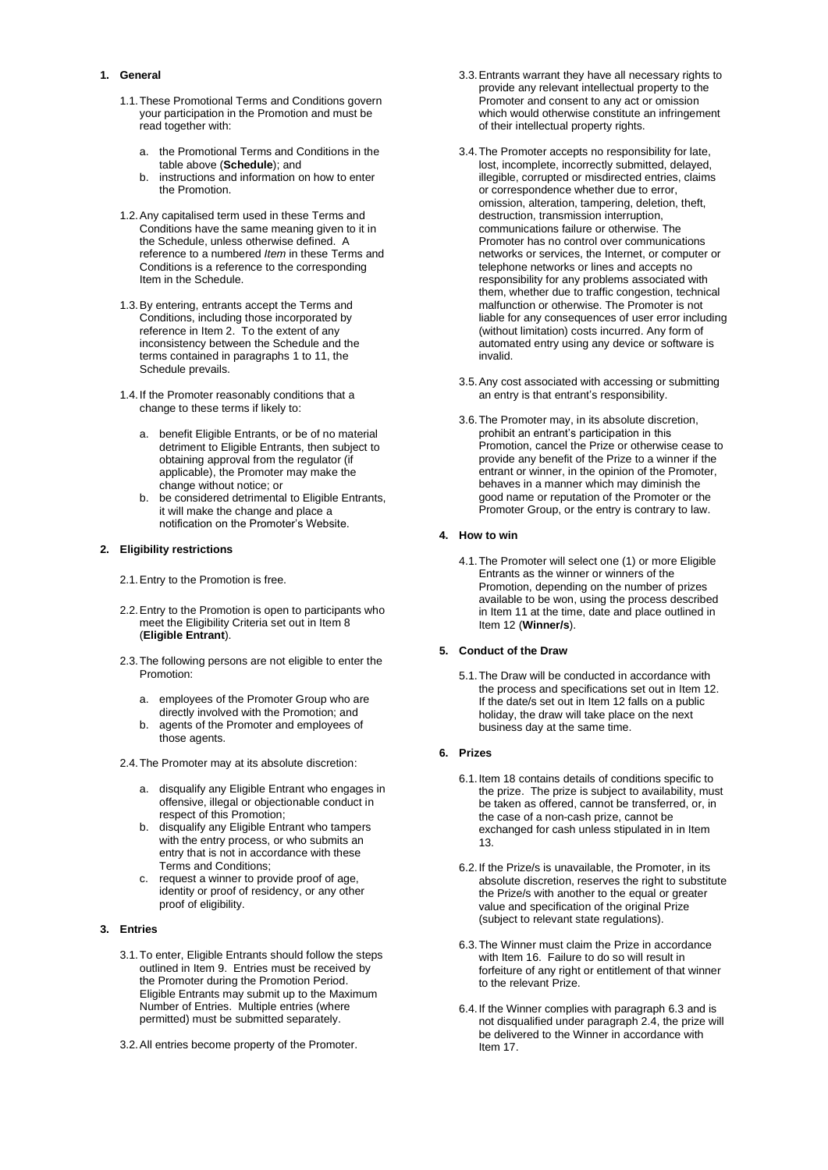## <span id="page-3-0"></span>**1. General**

- 1.1.These Promotional Terms and Conditions govern your participation in the Promotion and must be read together with:
	- a. the Promotional Terms and Conditions in the table above (**Schedule**); and
	- b. instructions and information on how to enter the Promotion.
- 1.2.Any capitalised term used in these Terms and Conditions have the same meaning given to it in the Schedule, unless otherwise defined. A reference to a numbered *Item* in these Terms and Conditions is a reference to the corresponding Item in the Schedule.
- 1.3.By entering, entrants accept the Terms and Conditions, including those incorporated by reference in [Item 2.](#page-0-0) To the extent of any inconsistency between the Schedule and the terms contained in paragraph[s 1](#page-3-0) to [11,](#page-5-0) the Schedule prevails.
- 1.4.If the Promoter reasonably conditions that a change to these terms if likely to:
	- a. benefit Eligible Entrants, or be of no material detriment to Eligible Entrants, then subject to obtaining approval from the regulator (if applicable), the Promoter may make the change without notice; or
	- b. be considered detrimental to Eligible Entrants, it will make the change and place a notification on the Promoter's Website.

#### **2. Eligibility restrictions**

- 2.1.Entry to the Promotion is free.
- 2.2.Entry to the Promotion is open to participants who meet the Eligibility Criteria set out i[n Item 8](#page-0-1) (**Eligible Entrant**).
- 2.3.The following persons are not eligible to enter the Promotion:
	- a. employees of the Promoter Group who are directly involved with the Promotion; and
	- agents of the Promoter and employees of those agents.
- <span id="page-3-2"></span>2.4.The Promoter may at its absolute discretion:
	- a. disqualify any Eligible Entrant who engages in offensive, illegal or objectionable conduct in respect of this Promotion;
	- b. disqualify any Eligible Entrant who tampers with the entry process, or who submits an entry that is not in accordance with these Terms and Conditions;
	- c. request a winner to provide proof of age, identity or proof of residency, or any other proof of eligibility.

## **3. Entries**

- 3.1.To enter, Eligible Entrants should follow the steps outlined in [Item 9.](#page-0-2) Entries must be received by the Promoter during the Promotion Period. Eligible Entrants may submit up to the Maximum Number of Entries. Multiple entries (where permitted) must be submitted separately.
- 3.2.All entries become property of the Promoter.
- 3.3.Entrants warrant they have all necessary rights to provide any relevant intellectual property to the Promoter and consent to any act or omission which would otherwise constitute an infringement of their intellectual property rights.
- 3.4.The Promoter accepts no responsibility for late, lost, incomplete, incorrectly submitted, delayed, illegible, corrupted or misdirected entries, claims or correspondence whether due to error, omission, alteration, tampering, deletion, theft, destruction, transmission interruption, communications failure or otherwise. The Promoter has no control over communications networks or services, the Internet, or computer or telephone networks or lines and accepts no responsibility for any problems associated with them, whether due to traffic congestion, technical malfunction or otherwise. The Promoter is not liable for any consequences of user error including (without limitation) costs incurred. Any form of automated entry using any device or software is invalid.
- 3.5.Any cost associated with accessing or submitting an entry is that entrant's responsibility.
- 3.6.The Promoter may, in its absolute discretion, prohibit an entrant's participation in this Promotion, cancel the Prize or otherwise cease to provide any benefit of the Prize to a winner if the entrant or winner, in the opinion of the Promoter, behaves in a manner which may diminish the good name or reputation of the Promoter or the Promoter Group, or the entry is contrary to law.

#### **4. How to win**

4.1.The Promoter will select one (1) or more Eligible Entrants as the winner or winners of the Promotion, depending on the number of prizes available to be won, using the process described i[n Item 11](#page-0-3) at the time, date and place outlined in [Item 12](#page-0-4) (**Winner/s**).

#### **5. Conduct of the Draw**

5.1.The Draw will be conducted in accordance with the process and specifications set out in [Item 12.](#page-0-4) If the date/s set out in [Item 12](#page-0-4) falls on a public holiday, the draw will take place on the next business day at the same time.

## **6. Prizes**

- 6.1[.Item 18](#page-2-0) contains details of conditions specific to the prize. The prize is subject to availability, must be taken as offered, cannot be transferred, or, in the case of a non-cash prize, cannot be exchanged for cash unless stipulated in in [Item](#page-1-0)  [13.](#page-1-0)
- 6.2.If the Prize/s is unavailable, the Promoter, in its absolute discretion, reserves the right to substitute the Prize/s with another to the equal or greater value and specification of the original Prize (subject to relevant state regulations).
- <span id="page-3-1"></span>6.3.The Winner must claim the Prize in accordance wit[h Item 16.](#page-1-1) Failure to do so will result in forfeiture of any right or entitlement of that winner to the relevant Prize.
- 6.4.If the Winner complies with paragraph [6.3](#page-3-1) and is not disqualified under paragraph [2.4,](#page-3-2) the prize will be delivered to the Winner in accordance with [Item 17.](#page-1-2)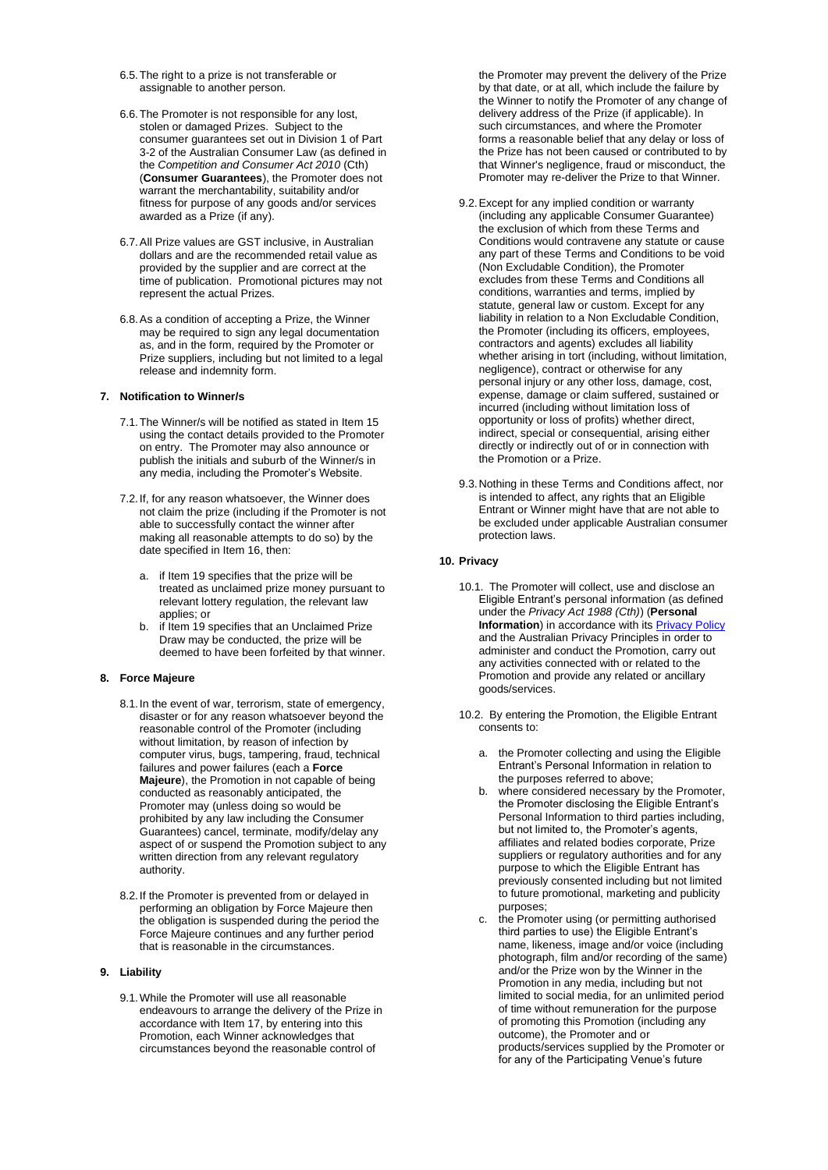- 6.5.The right to a prize is not transferable or assignable to another person.
- 6.6.The Promoter is not responsible for any lost, stolen or damaged Prizes. Subject to the consumer guarantees set out in Division 1 of Part 3-2 of the Australian Consumer Law (as defined in the *Competition and Consumer Act 2010* (Cth) (**Consumer Guarantees**), the Promoter does not warrant the merchantability, suitability and/or fitness for purpose of any goods and/or services awarded as a Prize (if any).
- 6.7.All Prize values are GST inclusive, in Australian dollars and are the recommended retail value as provided by the supplier and are correct at the time of publication. Promotional pictures may not represent the actual Prizes.
- 6.8.As a condition of accepting a Prize, the Winner may be required to sign any legal documentation as, and in the form, required by the Promoter or Prize suppliers, including but not limited to a legal release and indemnity form.

#### **7. Notification to Winner/s**

- 7.1.The Winner/s will be notified as stated in [Item 15](#page-1-3) using the contact details provided to the Promoter on entry. The Promoter may also announce or publish the initials and suburb of the Winner/s in any media, including the Promoter's Website.
- 7.2.If, for any reason whatsoever, the Winner does not claim the prize (including if the Promoter is not able to successfully contact the winner after making all reasonable attempts to do so) by the date specified i[n Item 16,](#page-1-1) then:
	- a. if [Item 19](#page-2-1) specifies that the prize will be treated as unclaimed prize money pursuant to relevant lottery regulation, the relevant law applies; or
	- b. if [Item 19](#page-2-1) specifies that an Unclaimed Prize Draw may be conducted, the prize will be deemed to have been forfeited by that winner.

## **8. Force Majeure**

- 8.1.In the event of war, terrorism, state of emergency, disaster or for any reason whatsoever beyond the reasonable control of the Promoter (including without limitation, by reason of infection by computer virus, bugs, tampering, fraud, technical failures and power failures (each a **Force Majeure**), the Promotion in not capable of being conducted as reasonably anticipated, the Promoter may (unless doing so would be prohibited by any law including the Consumer Guarantees) cancel, terminate, modify/delay any aspect of or suspend the Promotion subject to any written direction from any relevant regulatory authority.
- 8.2.If the Promoter is prevented from or delayed in performing an obligation by Force Majeure then the obligation is suspended during the period the Force Majeure continues and any further period that is reasonable in the circumstances.

# **9. Liability**

9.1.While the Promoter will use all reasonable endeavours to arrange the delivery of the Prize in accordance wit[h Item 17,](#page-1-2) by entering into this Promotion, each Winner acknowledges that circumstances beyond the reasonable control of

the Promoter may prevent the delivery of the Prize by that date, or at all, which include the failure by the Winner to notify the Promoter of any change of delivery address of the Prize (if applicable). In such circumstances, and where the Promoter forms a reasonable belief that any delay or loss of the Prize has not been caused or contributed to by that Winner's negligence, fraud or misconduct, the Promoter may re-deliver the Prize to that Winner.

- 9.2.Except for any implied condition or warranty (including any applicable Consumer Guarantee) the exclusion of which from these Terms and Conditions would contravene any statute or cause any part of these Terms and Conditions to be void (Non Excludable Condition), the Promoter excludes from these Terms and Conditions all conditions, warranties and terms, implied by statute, general law or custom. Except for any liability in relation to a Non Excludable Condition, the Promoter (including its officers, employees, contractors and agents) excludes all liability whether arising in tort (including, without limitation, negligence), contract or otherwise for any personal injury or any other loss, damage, cost, expense, damage or claim suffered, sustained or incurred (including without limitation loss of opportunity or loss of profits) whether direct, indirect, special or consequential, arising either directly or indirectly out of or in connection with the Promotion or a Prize.
- 9.3.Nothing in these Terms and Conditions affect, nor is intended to affect, any rights that an Eligible Entrant or Winner might have that are not able to be excluded under applicable Australian consumer protection laws.

#### **10. Privacy**

- 10.1. The Promoter will collect, use and disclose an Eligible Entrant's personal information (as defined under the *Privacy Act 1988 (Cth)*) (**Personal Information**) in accordance with it[s Privacy Policy](https://mytabcorp-my.sharepoint.com/personal/julia_thompson_tabcorp_com_au/Documents/Desktop/Promotions%20and%20Offers/tabcorp.com.au/privacy) and the Australian Privacy Principles in order to administer and conduct the Promotion, carry out any activities connected with or related to the Promotion and provide any related or ancillary goods/services.
- 10.2. By entering the Promotion, the Eligible Entrant consents to:
	- a. the Promoter collecting and using the Eligible Entrant's Personal Information in relation to the purposes referred to above;
	- b. where considered necessary by the Promoter, the Promoter disclosing the Eligible Entrant's Personal Information to third parties including, but not limited to, the Promoter's agents, affiliates and related bodies corporate, Prize suppliers or regulatory authorities and for any purpose to which the Eligible Entrant has previously consented including but not limited to future promotional, marketing and publicity purposes;
	- c. the Promoter using (or permitting authorised third parties to use) the Eligible Entrant's name, likeness, image and/or voice (including photograph, film and/or recording of the same) and/or the Prize won by the Winner in the Promotion in any media, including but not limited to social media, for an unlimited period of time without remuneration for the purpose of promoting this Promotion (including any outcome), the Promoter and or products/services supplied by the Promoter or for any of the Participating Venue's future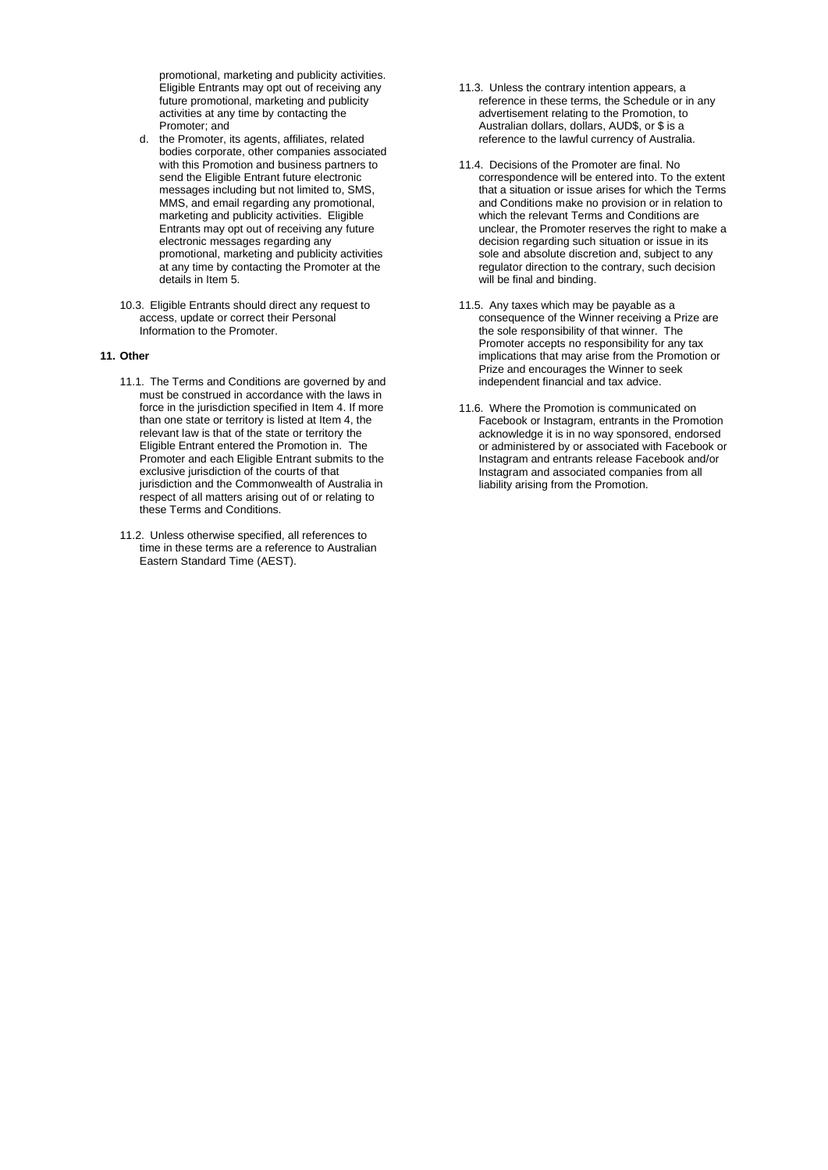promotional, marketing and publicity activities. Eligible Entrants may opt out of receiving any future promotional, marketing and publicity activities at any time by contacting the Promoter; and

- d. the Promoter, its agents, affiliates, related bodies corporate, other companies associated with this Promotion and business partners to send the Eligible Entrant future electronic messages including but not limited to, SMS, MMS, and email regarding any promotional, marketing and publicity activities. Eligible Entrants may opt out of receiving any future electronic messages regarding any promotional, marketing and publicity activities at any time by contacting the Promoter at the details in [Item 5.](#page-0-5)
- 10.3. Eligible Entrants should direct any request to access, update or correct their Personal Information to the Promoter.

## <span id="page-5-0"></span>**11. Other**

- 11.1. The Terms and Conditions are governed by and must be construed in accordance with the laws in force in the jurisdiction specified i[n Item 4.](#page-0-6) If more than one state or territory is listed a[t Item 4,](#page-0-6) the relevant law is that of the state or territory the Eligible Entrant entered the Promotion in. The Promoter and each Eligible Entrant submits to the exclusive jurisdiction of the courts of that jurisdiction and the Commonwealth of Australia in respect of all matters arising out of or relating to these Terms and Conditions.
- 11.2. Unless otherwise specified, all references to time in these terms are a reference to Australian Eastern Standard Time (AEST).
- 11.3. Unless the contrary intention appears, a reference in these terms, the Schedule or in any advertisement relating to the Promotion, to Australian dollars, dollars, AUD\$, or \$ is a reference to the lawful currency of Australia.
- 11.4. Decisions of the Promoter are final. No correspondence will be entered into. To the extent that a situation or issue arises for which the Terms and Conditions make no provision or in relation to which the relevant Terms and Conditions are unclear, the Promoter reserves the right to make a decision regarding such situation or issue in its sole and absolute discretion and, subject to any regulator direction to the contrary, such decision will be final and binding.
- 11.5. Any taxes which may be payable as a consequence of the Winner receiving a Prize are the sole responsibility of that winner. The Promoter accepts no responsibility for any tax implications that may arise from the Promotion or Prize and encourages the Winner to seek independent financial and tax advice.
- 11.6. Where the Promotion is communicated on Facebook or Instagram, entrants in the Promotion acknowledge it is in no way sponsored, endorsed or administered by or associated with Facebook or Instagram and entrants release Facebook and/or Instagram and associated companies from all liability arising from the Promotion.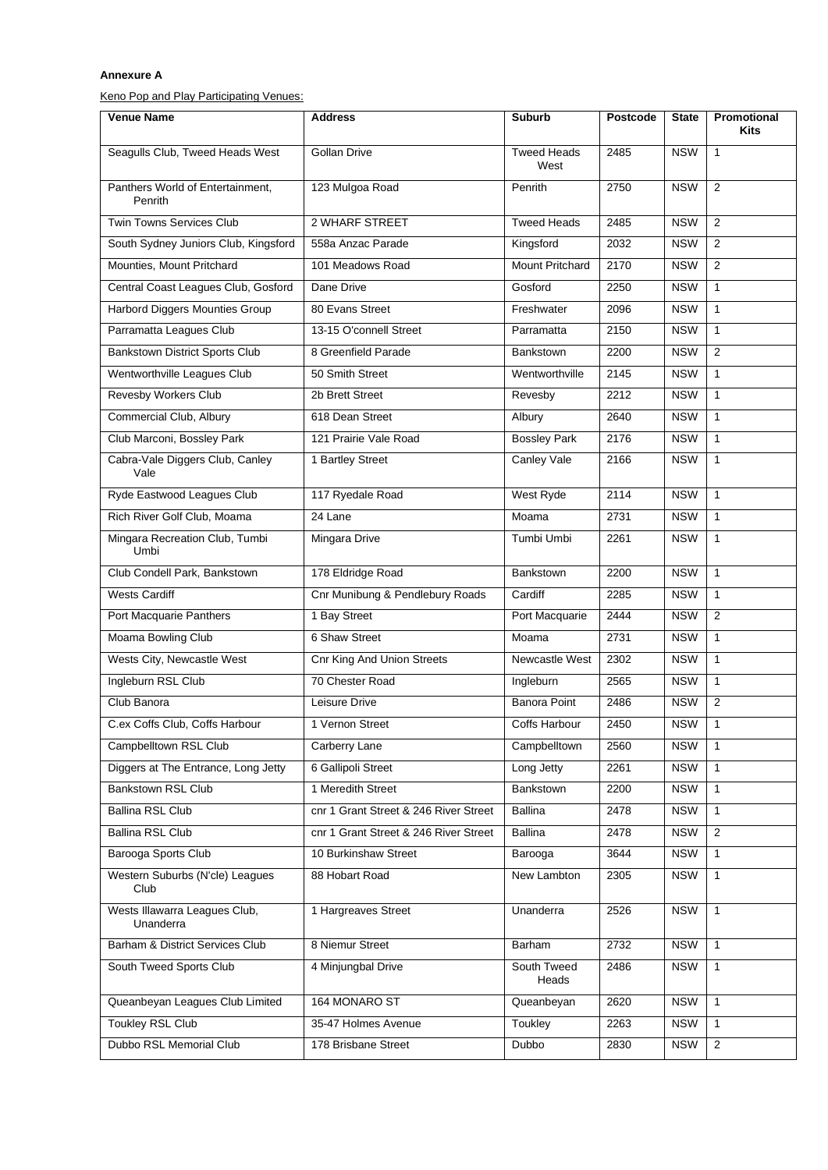# **Annexure A**

Keno Pop and Play Participating Venues:

| <b>Venue Name</b>                           | <b>Address</b>                        | <b>Suburb</b>              | <b>Postcode</b> | <b>State</b> | Promotional<br>Kits |
|---------------------------------------------|---------------------------------------|----------------------------|-----------------|--------------|---------------------|
| Seagulls Club, Tweed Heads West             | Gollan Drive                          | <b>Tweed Heads</b><br>West | 2485            | <b>NSW</b>   | $\mathbf{1}$        |
| Panthers World of Entertainment,<br>Penrith | 123 Mulgoa Road                       | Penrith                    | 2750            | <b>NSW</b>   | 2                   |
| <b>Twin Towns Services Club</b>             | 2 WHARF STREET                        | <b>Tweed Heads</b>         | 2485            | <b>NSW</b>   | 2                   |
| South Sydney Juniors Club, Kingsford        | 558a Anzac Parade                     | Kingsford                  | 2032            | <b>NSW</b>   | 2                   |
| Mounties, Mount Pritchard                   | 101 Meadows Road                      | Mount Pritchard            | 2170            | <b>NSW</b>   | 2                   |
| Central Coast Leagues Club, Gosford         | Dane Drive                            | Gosford                    | 2250            | <b>NSW</b>   | $\mathbf{1}$        |
| Harbord Diggers Mounties Group              | 80 Evans Street                       | Freshwater                 | 2096            | <b>NSW</b>   | $\mathbf{1}$        |
| Parramatta Leagues Club                     | 13-15 O'connell Street                | Parramatta                 | 2150            | <b>NSW</b>   | $\mathbf{1}$        |
| Bankstown District Sports Club              | 8 Greenfield Parade                   | <b>Bankstown</b>           | 2200            | <b>NSW</b>   | 2                   |
| Wentworthville Leagues Club                 | 50 Smith Street                       | Wentworthville             | 2145            | <b>NSW</b>   | $\mathbf{1}$        |
| Revesby Workers Club                        | 2b Brett Street                       | Revesby                    | 2212            | <b>NSW</b>   | 1                   |
| Commercial Club, Albury                     | 618 Dean Street                       | Albury                     | 2640            | <b>NSW</b>   | $\mathbf{1}$        |
| Club Marconi, Bossley Park                  | 121 Prairie Vale Road                 | <b>Bossley Park</b>        | 2176            | <b>NSW</b>   | $\mathbf{1}$        |
| Cabra-Vale Diggers Club, Canley<br>Vale     | 1 Bartley Street                      | Canley Vale                | 2166            | <b>NSW</b>   | $\mathbf{1}$        |
| Ryde Eastwood Leagues Club                  | 117 Ryedale Road                      | West Ryde                  | 2114            | <b>NSW</b>   | $\mathbf{1}$        |
| Rich River Golf Club, Moama                 | 24 Lane                               | Moama                      | 2731            | <b>NSW</b>   | $\mathbf{1}$        |
| Mingara Recreation Club, Tumbi<br>Umbi      | Mingara Drive                         | Tumbi Umbi                 | 2261            | <b>NSW</b>   | $\mathbf{1}$        |
| Club Condell Park, Bankstown                | 178 Eldridge Road                     | <b>Bankstown</b>           | 2200            | <b>NSW</b>   | $\mathbf{1}$        |
| <b>Wests Cardiff</b>                        | Cnr Munibung & Pendlebury Roads       | Cardiff                    | 2285            | <b>NSW</b>   | $\mathbf{1}$        |
| Port Macquarie Panthers                     | 1 Bay Street                          | Port Macquarie             | 2444            | <b>NSW</b>   | 2                   |
| Moama Bowling Club                          | 6 Shaw Street                         | Moama                      | 2731            | <b>NSW</b>   | 1                   |
| Wests City, Newcastle West                  | <b>Cnr King And Union Streets</b>     | Newcastle West             | 2302            | <b>NSW</b>   | $\mathbf{1}$        |
| Ingleburn RSL Club                          | 70 Chester Road                       | Ingleburn                  | 2565            | <b>NSW</b>   | $\mathbf{1}$        |
| Club Banora                                 | Leisure Drive                         | <b>Banora Point</b>        | 2486            | <b>NSW</b>   | 2                   |
| C.ex Coffs Club, Coffs Harbour              | 1 Vernon Street                       | <b>Coffs Harbour</b>       | 2450            | <b>NSW</b>   | $\mathbf{1}$        |
| Campbelltown RSL Club                       | Carberry Lane                         | Campbelltown               | 2560            | <b>NSW</b>   | $\mathbf{1}$        |
| Diggers at The Entrance, Long Jetty         | 6 Gallipoli Street                    | Long Jetty                 | 2261            | <b>NSW</b>   | $\mathbf{1}$        |
| <b>Bankstown RSL Club</b>                   | 1 Meredith Street                     | Bankstown                  | 2200            | <b>NSW</b>   | 1                   |
| <b>Ballina RSL Club</b>                     | cnr 1 Grant Street & 246 River Street | <b>Ballina</b>             | 2478            | <b>NSW</b>   | 1                   |
| <b>Ballina RSL Club</b>                     | cnr 1 Grant Street & 246 River Street | Ballina                    | 2478            | <b>NSW</b>   | 2                   |
| Barooga Sports Club                         | 10 Burkinshaw Street                  | Barooga                    | 3644            | <b>NSW</b>   | 1                   |
| Western Suburbs (N'cle) Leagues<br>Club     | 88 Hobart Road                        | New Lambton                | 2305            | <b>NSW</b>   | $\mathbf{1}$        |
| Wests Illawarra Leagues Club,<br>Unanderra  | 1 Hargreaves Street                   | Unanderra                  | 2526            | <b>NSW</b>   | $\mathbf{1}$        |
| Barham & District Services Club             | 8 Niemur Street                       | Barham                     | 2732            | <b>NSW</b>   | 1                   |
| South Tweed Sports Club                     | 4 Minjungbal Drive                    | South Tweed<br>Heads       | 2486            | <b>NSW</b>   | $\mathbf{1}$        |
| Queanbeyan Leagues Club Limited             | 164 MONARO ST                         | Queanbeyan                 | 2620            | <b>NSW</b>   | $\mathbf{1}$        |
| <b>Toukley RSL Club</b>                     | 35-47 Holmes Avenue                   | Toukley                    | 2263            | <b>NSW</b>   | $\mathbf{1}$        |
| Dubbo RSL Memorial Club                     | 178 Brisbane Street                   | Dubbo                      | 2830            | <b>NSW</b>   | $\overline{2}$      |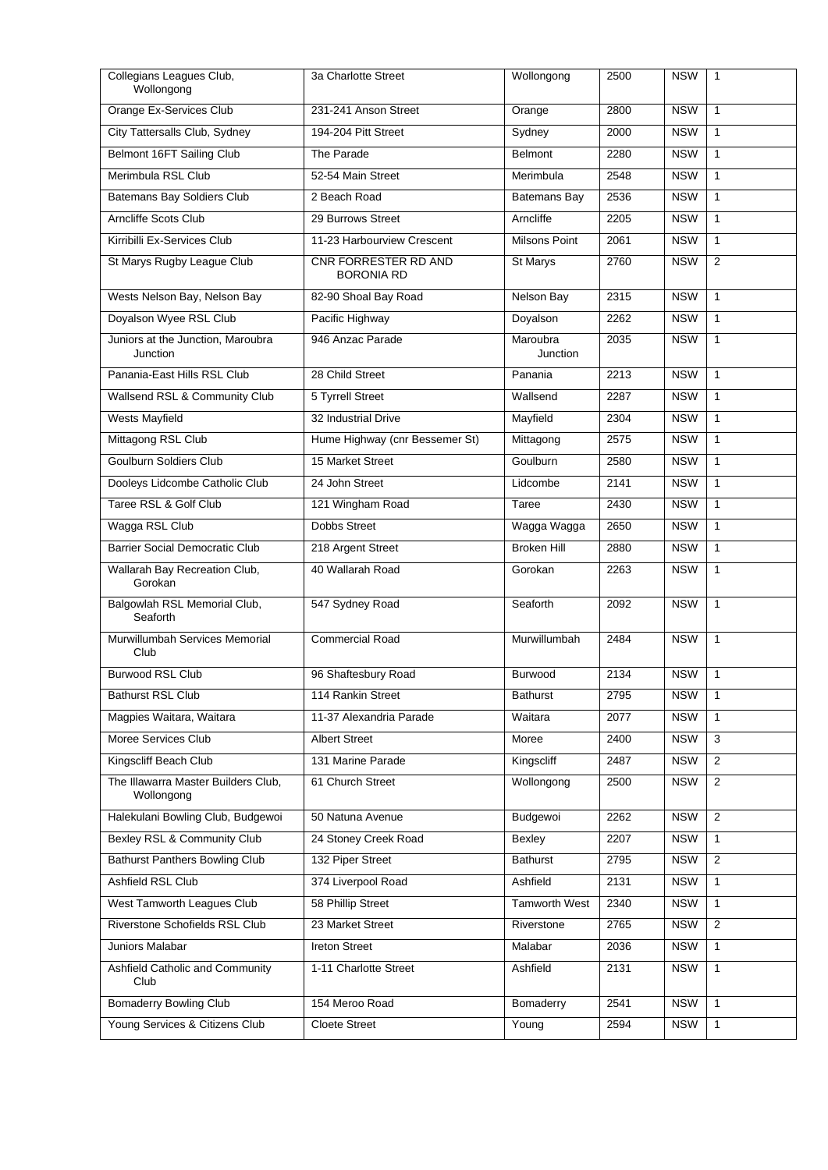| Collegians Leagues Club,<br>Wollongong            | 3a Charlotte Street                       | Wollongong           | 2500 | <b>NSW</b> | $\mathbf{1}$   |
|---------------------------------------------------|-------------------------------------------|----------------------|------|------------|----------------|
| Orange Ex-Services Club                           | 231-241 Anson Street                      | Orange               | 2800 | <b>NSW</b> | $\mathbf{1}$   |
| City Tattersalls Club, Sydney                     | 194-204 Pitt Street                       | Sydney               | 2000 | <b>NSW</b> | $\mathbf{1}$   |
| Belmont 16FT Sailing Club                         | The Parade                                | <b>Belmont</b>       | 2280 | <b>NSW</b> | $\mathbf{1}$   |
| Merimbula RSL Club                                | 52-54 Main Street                         | Merimbula            | 2548 | <b>NSW</b> | $\mathbf{1}$   |
| <b>Batemans Bay Soldiers Club</b>                 | 2 Beach Road                              | <b>Batemans Bay</b>  | 2536 | <b>NSW</b> | $\mathbf{1}$   |
| Arncliffe Scots Club                              | 29 Burrows Street                         | Arncliffe            | 2205 | <b>NSW</b> | $\mathbf{1}$   |
| Kirribilli Ex-Services Club                       | 11-23 Harbourview Crescent                | <b>Milsons Point</b> | 2061 | <b>NSW</b> | $\mathbf{1}$   |
| St Marys Rugby League Club                        | CNR FORRESTER RD AND<br><b>BORONIA RD</b> | St Marys             | 2760 | <b>NSW</b> | $\overline{2}$ |
| Wests Nelson Bay, Nelson Bay                      | 82-90 Shoal Bay Road                      | Nelson Bay           | 2315 | <b>NSW</b> | $\mathbf{1}$   |
| Doyalson Wyee RSL Club                            | Pacific Highway                           | Doyalson             | 2262 | <b>NSW</b> | $\mathbf{1}$   |
| Juniors at the Junction, Maroubra<br>Junction     | 946 Anzac Parade                          | Maroubra<br>Junction | 2035 | <b>NSW</b> | $\mathbf{1}$   |
| Panania-East Hills RSL Club                       | 28 Child Street                           | Panania              | 2213 | <b>NSW</b> | $\mathbf{1}$   |
| Wallsend RSL & Community Club                     | 5 Tyrrell Street                          | Wallsend             | 2287 | <b>NSW</b> | $\mathbf{1}$   |
| Wests Mayfield                                    | 32 Industrial Drive                       | Mayfield             | 2304 | <b>NSW</b> | $\mathbf{1}$   |
| Mittagong RSL Club                                | Hume Highway (cnr Bessemer St)            | Mittagong            | 2575 | <b>NSW</b> | $\mathbf{1}$   |
| <b>Goulburn Soldiers Club</b>                     | 15 Market Street                          | Goulburn             | 2580 | <b>NSW</b> | $\mathbf{1}$   |
| Dooleys Lidcombe Catholic Club                    | 24 John Street                            | Lidcombe             | 2141 | <b>NSW</b> | $\mathbf{1}$   |
| Taree RSL & Golf Club                             | 121 Wingham Road                          | Taree                | 2430 | <b>NSW</b> | $\mathbf{1}$   |
| Wagga RSL Club                                    | Dobbs Street                              | Wagga Wagga          | 2650 | <b>NSW</b> | $\mathbf{1}$   |
| <b>Barrier Social Democratic Club</b>             | 218 Argent Street                         | <b>Broken Hill</b>   | 2880 | <b>NSW</b> | $\mathbf{1}$   |
| Wallarah Bay Recreation Club,<br>Gorokan          | 40 Wallarah Road                          | Gorokan              | 2263 | <b>NSW</b> | $\mathbf{1}$   |
| Balgowlah RSL Memorial Club,<br>Seaforth          | 547 Sydney Road                           | Seaforth             | 2092 | <b>NSW</b> | $\mathbf{1}$   |
| Murwillumbah Services Memorial<br>Club            | <b>Commercial Road</b>                    | Murwillumbah         | 2484 | <b>NSW</b> | $\mathbf{1}$   |
| <b>Burwood RSL Club</b>                           | 96 Shaftesbury Road                       | <b>Burwood</b>       | 2134 | <b>NSW</b> | $\mathbf{1}$   |
| Bathurst RSL Club                                 | 114 Rankin Street                         | Bathurst             | 2795 | <b>NSW</b> | $\mathbf{1}$   |
| Magpies Waitara, Waitara                          | 11-37 Alexandria Parade                   | Waitara              | 2077 | <b>NSW</b> | 1              |
| Moree Services Club                               | <b>Albert Street</b>                      | Moree                | 2400 | <b>NSW</b> | 3              |
| Kingscliff Beach Club                             | 131 Marine Parade                         | Kingscliff           | 2487 | <b>NSW</b> | 2              |
| The Illawarra Master Builders Club,<br>Wollongong | 61 Church Street                          | Wollongong           | 2500 | <b>NSW</b> | $\overline{2}$ |
| Halekulani Bowling Club, Budgewoi                 | 50 Natuna Avenue                          | Budgewoi             | 2262 | <b>NSW</b> | 2              |
| Bexley RSL & Community Club                       | 24 Stoney Creek Road                      | Bexley               | 2207 | <b>NSW</b> | $\mathbf{1}$   |
| <b>Bathurst Panthers Bowling Club</b>             | 132 Piper Street                          | <b>Bathurst</b>      | 2795 | <b>NSW</b> | $\overline{2}$ |
| Ashfield RSL Club                                 | 374 Liverpool Road                        | Ashfield             | 2131 | <b>NSW</b> | $\mathbf{1}$   |
| West Tamworth Leagues Club                        | 58 Phillip Street                         | <b>Tamworth West</b> | 2340 | <b>NSW</b> | $\mathbf{1}$   |
| Riverstone Schofields RSL Club                    | 23 Market Street                          | Riverstone           | 2765 | <b>NSW</b> | 2              |
| Juniors Malabar                                   | <b>Ireton Street</b>                      | Malabar              | 2036 | <b>NSW</b> | $\mathbf{1}$   |
| Ashfield Catholic and Community<br>Club           | 1-11 Charlotte Street                     | Ashfield             | 2131 | <b>NSW</b> | 1              |
| <b>Bomaderry Bowling Club</b>                     | 154 Meroo Road                            | Bomaderry            | 2541 | <b>NSW</b> | $\mathbf{1}$   |
| Young Services & Citizens Club                    | <b>Cloete Street</b>                      | Young                | 2594 | <b>NSW</b> | $\mathbf{1}$   |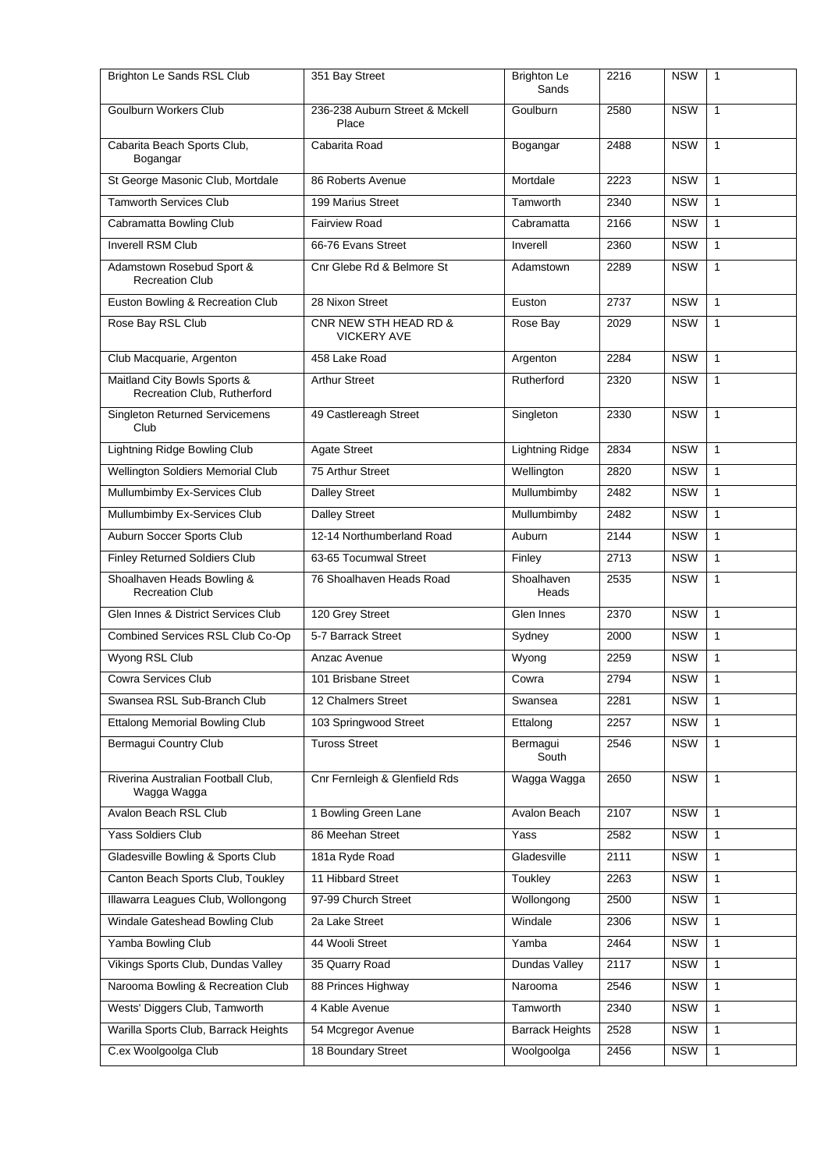| Brighton Le Sands RSL Club                                  | 351 Bay Street                              | <b>Brighton Le</b><br>Sands | 2216 | <b>NSW</b> | $\mathbf{1}$ |
|-------------------------------------------------------------|---------------------------------------------|-----------------------------|------|------------|--------------|
| <b>Goulburn Workers Club</b>                                | 236-238 Auburn Street & Mckell<br>Place     | <b>Goulburn</b>             | 2580 | <b>NSW</b> | $\mathbf{1}$ |
| Cabarita Beach Sports Club,<br>Bogangar                     | Cabarita Road                               | Bogangar                    | 2488 | <b>NSW</b> | $\mathbf{1}$ |
| St George Masonic Club, Mortdale                            | 86 Roberts Avenue                           | Mortdale                    | 2223 | <b>NSW</b> | $\mathbf{1}$ |
| <b>Tamworth Services Club</b>                               | 199 Marius Street                           | Tamworth                    | 2340 | <b>NSW</b> | $\mathbf{1}$ |
| Cabramatta Bowling Club                                     | <b>Fairview Road</b>                        | Cabramatta                  | 2166 | <b>NSW</b> | $\mathbf{1}$ |
| <b>Inverell RSM Club</b>                                    | 66-76 Evans Street                          | Inverell                    | 2360 | <b>NSW</b> | $\mathbf{1}$ |
| Adamstown Rosebud Sport &<br><b>Recreation Club</b>         | Cnr Glebe Rd & Belmore St                   | Adamstown                   | 2289 | <b>NSW</b> | $\mathbf{1}$ |
| Euston Bowling & Recreation Club                            | 28 Nixon Street                             | Euston                      | 2737 | <b>NSW</b> | $\mathbf{1}$ |
| Rose Bay RSL Club                                           | CNR NEW STH HEAD RD &<br><b>VICKERY AVE</b> | Rose Bay                    | 2029 | <b>NSW</b> | $\mathbf{1}$ |
| Club Macquarie, Argenton                                    | 458 Lake Road                               | Argenton                    | 2284 | <b>NSW</b> | $\mathbf{1}$ |
| Maitland City Bowls Sports &<br>Recreation Club, Rutherford | <b>Arthur Street</b>                        | Rutherford                  | 2320 | <b>NSW</b> | $\mathbf{1}$ |
| <b>Singleton Returned Servicemens</b><br>Club               | 49 Castlereagh Street                       | Singleton                   | 2330 | <b>NSW</b> | $\mathbf{1}$ |
| <b>Lightning Ridge Bowling Club</b>                         | <b>Agate Street</b>                         | <b>Lightning Ridge</b>      | 2834 | <b>NSW</b> | $\mathbf{1}$ |
| Wellington Soldiers Memorial Club                           | 75 Arthur Street                            | Wellington                  | 2820 | <b>NSW</b> | $\mathbf{1}$ |
| Mullumbimby Ex-Services Club                                | <b>Dalley Street</b>                        | Mullumbimby                 | 2482 | <b>NSW</b> | $\mathbf{1}$ |
| Mullumbimby Ex-Services Club                                | <b>Dalley Street</b>                        | Mullumbimby                 | 2482 | <b>NSW</b> | $\mathbf{1}$ |
| Auburn Soccer Sports Club                                   | 12-14 Northumberland Road                   | Auburn                      | 2144 | <b>NSW</b> | $\mathbf{1}$ |
| Finley Returned Soldiers Club                               | 63-65 Tocumwal Street                       | Finley                      | 2713 | <b>NSW</b> | $\mathbf{1}$ |
| Shoalhaven Heads Bowling &<br><b>Recreation Club</b>        | 76 Shoalhaven Heads Road                    | Shoalhaven<br>Heads         | 2535 | <b>NSW</b> | $\mathbf{1}$ |
| Glen Innes & District Services Club                         | 120 Grey Street                             | Glen Innes                  | 2370 | <b>NSW</b> | $\mathbf{1}$ |
| Combined Services RSL Club Co-Op                            | 5-7 Barrack Street                          | Sydney                      | 2000 | <b>NSW</b> | $\mathbf{1}$ |
| Wyong RSL Club                                              | Anzac Avenue                                | Wyong                       | 2259 | <b>NSW</b> | $\mathbf{1}$ |
| <b>Cowra Services Club</b>                                  | 101 Brisbane Street                         | Cowra                       | 2794 | <b>NSW</b> | 1            |
| Swansea RSL Sub-Branch Club                                 | 12 Chalmers Street                          | Swansea                     | 2281 | <b>NSW</b> | $\mathbf{1}$ |
| <b>Ettalong Memorial Bowling Club</b>                       | 103 Springwood Street                       | Ettalong                    | 2257 | <b>NSW</b> | $\mathbf{1}$ |
| Bermagui Country Club                                       | <b>Tuross Street</b>                        | Bermagui<br>South           | 2546 | <b>NSW</b> | $\mathbf{1}$ |
| Riverina Australian Football Club,<br>Wagga Wagga           | Cnr Fernleigh & Glenfield Rds               | Wagga Wagga                 | 2650 | <b>NSW</b> | $\mathbf{1}$ |
| Avalon Beach RSL Club                                       | 1 Bowling Green Lane                        | Avalon Beach                | 2107 | <b>NSW</b> | $\mathbf{1}$ |
| Yass Soldiers Club                                          | 86 Meehan Street                            | Yass                        | 2582 | <b>NSW</b> | 1            |
| Gladesville Bowling & Sports Club                           | 181a Ryde Road                              | Gladesville                 | 2111 | <b>NSW</b> | $\mathbf{1}$ |
| Canton Beach Sports Club, Toukley                           | 11 Hibbard Street                           | Toukley                     | 2263 | <b>NSW</b> | $\mathbf{1}$ |
| Illawarra Leagues Club, Wollongong                          | 97-99 Church Street                         | Wollongong                  | 2500 | <b>NSW</b> | $\mathbf{1}$ |
| Windale Gateshead Bowling Club                              | 2a Lake Street                              | Windale                     | 2306 | <b>NSW</b> | $\mathbf{1}$ |
| Yamba Bowling Club                                          | 44 Wooli Street                             | Yamba                       | 2464 | <b>NSW</b> | 1            |
| Vikings Sports Club, Dundas Valley                          | 35 Quarry Road                              | Dundas Valley               | 2117 | <b>NSW</b> | $\mathbf{1}$ |
| Narooma Bowling & Recreation Club                           | 88 Princes Highway                          | Narooma                     | 2546 | <b>NSW</b> | 1            |
| Wests' Diggers Club, Tamworth                               | 4 Kable Avenue                              | Tamworth                    | 2340 | <b>NSW</b> | $\mathbf{1}$ |
| Warilla Sports Club, Barrack Heights                        | 54 Mcgregor Avenue                          | <b>Barrack Heights</b>      | 2528 | <b>NSW</b> | $\mathbf{1}$ |
| C.ex Woolgoolga Club                                        | 18 Boundary Street                          | Woolgoolga                  | 2456 | <b>NSW</b> | $\mathbf{1}$ |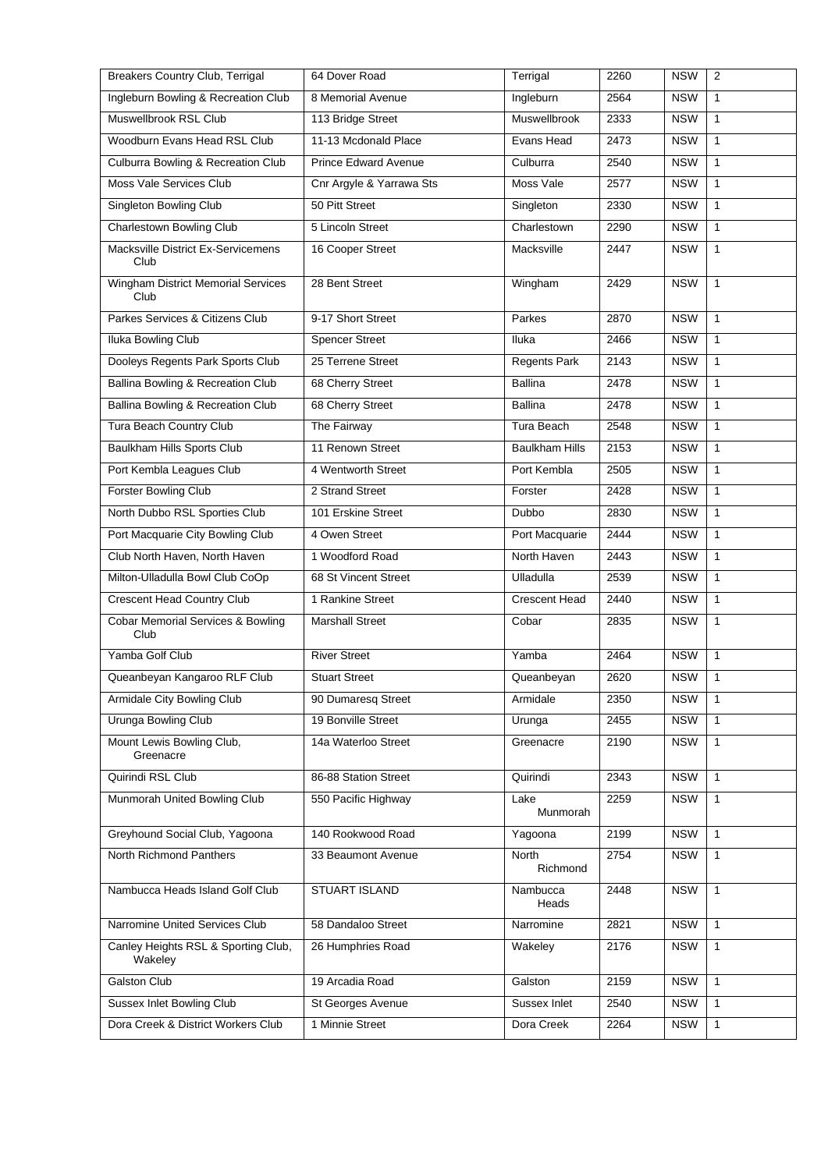| <b>Breakers Country Club, Terrigal</b>            | 64 Dover Road               | Terrigal              | 2260 | <b>NSW</b> | 2            |
|---------------------------------------------------|-----------------------------|-----------------------|------|------------|--------------|
| Ingleburn Bowling & Recreation Club               | 8 Memorial Avenue           | Ingleburn             | 2564 | <b>NSW</b> | $\mathbf{1}$ |
| Muswellbrook RSL Club                             | 113 Bridge Street           | Muswellbrook          | 2333 | <b>NSW</b> | $\mathbf{1}$ |
| Woodburn Evans Head RSL Club                      | 11-13 Mcdonald Place        | Evans Head            | 2473 | <b>NSW</b> | $\mathbf{1}$ |
| <b>Culburra Bowling &amp; Recreation Club</b>     | <b>Prince Edward Avenue</b> | Culburra              | 2540 | <b>NSW</b> | $\mathbf{1}$ |
| Moss Vale Services Club                           | Cnr Argyle & Yarrawa Sts    | Moss Vale             | 2577 | <b>NSW</b> | $\mathbf{1}$ |
| Singleton Bowling Club                            | 50 Pitt Street              | Singleton             | 2330 | <b>NSW</b> | $\mathbf{1}$ |
| <b>Charlestown Bowling Club</b>                   | 5 Lincoln Street            | Charlestown           | 2290 | <b>NSW</b> | $\mathbf{1}$ |
| Macksville District Ex-Servicemens<br>Club        | 16 Cooper Street            | Macksville            | 2447 | <b>NSW</b> | $\mathbf{1}$ |
| <b>Wingham District Memorial Services</b><br>Club | 28 Bent Street              | Wingham               | 2429 | <b>NSW</b> | $\mathbf{1}$ |
| Parkes Services & Citizens Club                   | 9-17 Short Street           | Parkes                | 2870 | <b>NSW</b> | $\mathbf{1}$ |
| <b>Iluka Bowling Club</b>                         | <b>Spencer Street</b>       | <b>Iluka</b>          | 2466 | <b>NSW</b> | $\mathbf{1}$ |
| Dooleys Regents Park Sports Club                  | 25 Terrene Street           | <b>Regents Park</b>   | 2143 | <b>NSW</b> | $\mathbf{1}$ |
| Ballina Bowling & Recreation Club                 | 68 Cherry Street            | <b>Ballina</b>        | 2478 | <b>NSW</b> | $\mathbf{1}$ |
| <b>Ballina Bowling &amp; Recreation Club</b>      | 68 Cherry Street            | <b>Ballina</b>        | 2478 | <b>NSW</b> | $\mathbf{1}$ |
| Tura Beach Country Club                           | The Fairway                 | Tura Beach            | 2548 | <b>NSW</b> | $\mathbf{1}$ |
| Baulkham Hills Sports Club                        | 11 Renown Street            | <b>Baulkham Hills</b> | 2153 | <b>NSW</b> | $\mathbf{1}$ |
| Port Kembla Leagues Club                          | 4 Wentworth Street          | Port Kembla           | 2505 | <b>NSW</b> | $\mathbf{1}$ |
| Forster Bowling Club                              | 2 Strand Street             | Forster               | 2428 | <b>NSW</b> | $\mathbf{1}$ |
| North Dubbo RSL Sporties Club                     | 101 Erskine Street          | Dubbo                 | 2830 | <b>NSW</b> | $\mathbf{1}$ |
| Port Macquarie City Bowling Club                  | 4 Owen Street               | Port Macquarie        | 2444 | <b>NSW</b> | $\mathbf{1}$ |
| Club North Haven, North Haven                     | 1 Woodford Road             | North Haven           | 2443 | <b>NSW</b> | $\mathbf{1}$ |
| Milton-Ulladulla Bowl Club CoOp                   | 68 St Vincent Street        | Ulladulla             | 2539 | <b>NSW</b> | $\mathbf{1}$ |
| Crescent Head Country Club                        | 1 Rankine Street            | <b>Crescent Head</b>  | 2440 | <b>NSW</b> | $\mathbf{1}$ |
| Cobar Memorial Services & Bowling<br>Club         | <b>Marshall Street</b>      | Cobar                 | 2835 | <b>NSW</b> | $\mathbf{1}$ |
| Yamba Golf Club                                   | <b>River Street</b>         | Yamba                 | 2464 | <b>NSW</b> | $\mathbf{1}$ |
| Queanbeyan Kangaroo RLF Club                      | <b>Stuart Street</b>        | Queanbeyan            | 2620 | <b>NSW</b> | $\mathbf{1}$ |
| Armidale City Bowling Club                        | 90 Dumaresq Street          | Armidale              | 2350 | <b>NSW</b> | $\mathbf{1}$ |
| Urunga Bowling Club                               | 19 Bonville Street          | Urunga                | 2455 | <b>NSW</b> | $\mathbf{1}$ |
| Mount Lewis Bowling Club,<br>Greenacre            | 14a Waterloo Street         | Greenacre             | 2190 | <b>NSW</b> | $\mathbf{1}$ |
| Quirindi RSL Club                                 | 86-88 Station Street        | Quirindi              | 2343 | <b>NSW</b> | $\mathbf{1}$ |
| Munmorah United Bowling Club                      | 550 Pacific Highway         | Lake<br>Munmorah      | 2259 | <b>NSW</b> | 1            |
| Greyhound Social Club, Yagoona                    | 140 Rookwood Road           | Yagoona               | 2199 | <b>NSW</b> | $\mathbf{1}$ |
| North Richmond Panthers                           | 33 Beaumont Avenue          | North<br>Richmond     | 2754 | <b>NSW</b> | $\mathbf{1}$ |
| Nambucca Heads Island Golf Club                   | STUART ISLAND               | Nambucca<br>Heads     | 2448 | <b>NSW</b> | $\mathbf{1}$ |
| Narromine United Services Club                    | 58 Dandaloo Street          | Narromine             | 2821 | <b>NSW</b> | $\mathbf{1}$ |
| Canley Heights RSL & Sporting Club,<br>Wakeley    | 26 Humphries Road           | Wakeley               | 2176 | <b>NSW</b> | $\mathbf{1}$ |
| Galston Club                                      | 19 Arcadia Road             | Galston               | 2159 | <b>NSW</b> | $\mathbf{1}$ |
| <b>Sussex Inlet Bowling Club</b>                  | St Georges Avenue           | Sussex Inlet          | 2540 | <b>NSW</b> | $\mathbf{1}$ |
| Dora Creek & District Workers Club                | 1 Minnie Street             | Dora Creek            | 2264 | <b>NSW</b> | 1            |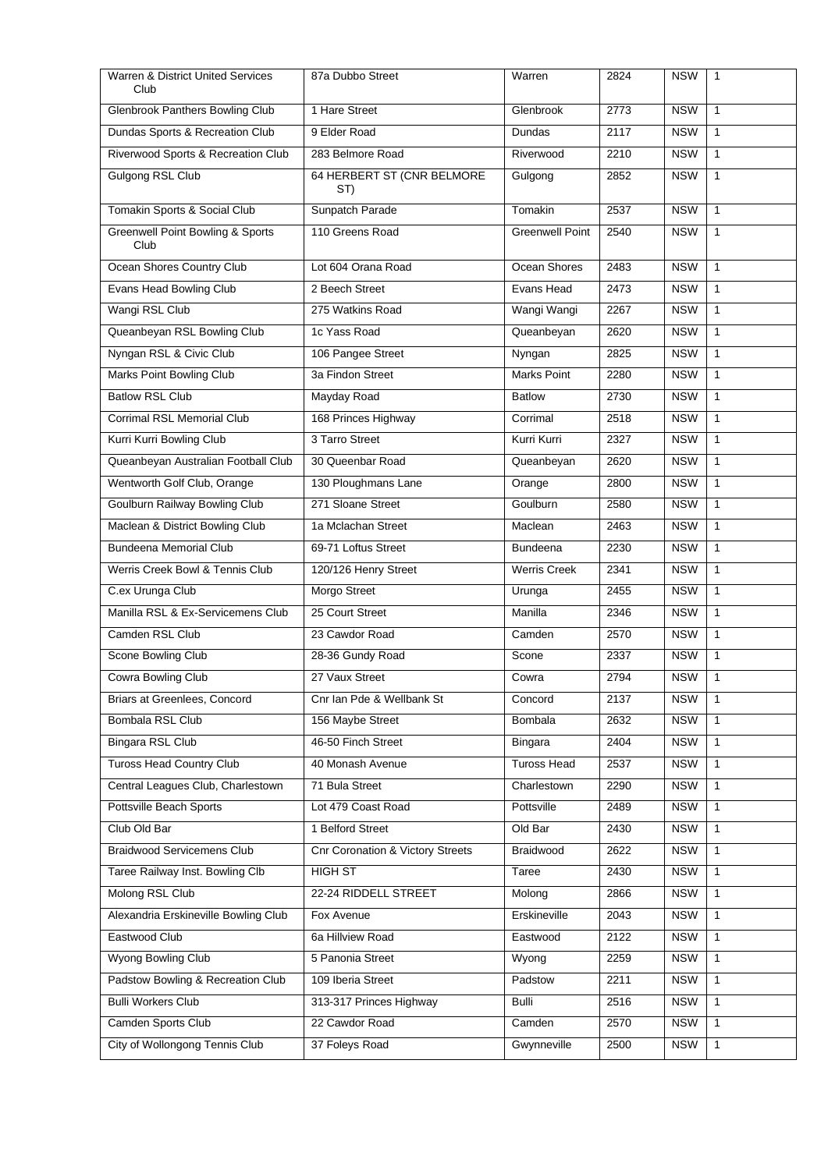| <b>Warren &amp; District United Services</b><br>Club | 87a Dubbo Street                            | Warren                 | 2824 | <b>NSW</b> | $\mathbf{1}$ |
|------------------------------------------------------|---------------------------------------------|------------------------|------|------------|--------------|
| <b>Glenbrook Panthers Bowling Club</b>               | 1 Hare Street                               | Glenbrook              | 2773 | <b>NSW</b> | $\mathbf{1}$ |
| Dundas Sports & Recreation Club                      | 9 Elder Road                                | Dundas                 | 2117 | <b>NSW</b> | $\mathbf{1}$ |
| Riverwood Sports & Recreation Club                   | 283 Belmore Road                            | Riverwood              | 2210 | <b>NSW</b> | $\mathbf{1}$ |
| Gulgong RSL Club                                     | 64 HERBERT ST (CNR BELMORE<br>ST)           | Gulgong                | 2852 | <b>NSW</b> | $\mathbf{1}$ |
| Tomakin Sports & Social Club                         | Sunpatch Parade                             | Tomakin                | 2537 | <b>NSW</b> | $\mathbf{1}$ |
| <b>Greenwell Point Bowling &amp; Sports</b><br>Club  | 110 Greens Road                             | <b>Greenwell Point</b> | 2540 | <b>NSW</b> | $\mathbf{1}$ |
| Ocean Shores Country Club                            | Lot 604 Orana Road                          | Ocean Shores           | 2483 | <b>NSW</b> | $\mathbf{1}$ |
| Evans Head Bowling Club                              | 2 Beech Street                              | Evans Head             | 2473 | <b>NSW</b> | $\mathbf{1}$ |
| Wangi RSL Club                                       | 275 Watkins Road                            | Wangi Wangi            | 2267 | <b>NSW</b> | $\mathbf{1}$ |
| Queanbeyan RSL Bowling Club                          | 1c Yass Road                                | Queanbeyan             | 2620 | <b>NSW</b> | $\mathbf{1}$ |
| Nyngan RSL & Civic Club                              | 106 Pangee Street                           | Nyngan                 | 2825 | <b>NSW</b> | $\mathbf{1}$ |
| Marks Point Bowling Club                             | 3a Findon Street                            | Marks Point            | 2280 | <b>NSW</b> | $\mathbf{1}$ |
| <b>Batlow RSL Club</b>                               | Mayday Road                                 | <b>Batlow</b>          | 2730 | <b>NSW</b> | $\mathbf{1}$ |
| <b>Corrimal RSL Memorial Club</b>                    | 168 Princes Highway                         | Corrimal               | 2518 | <b>NSW</b> | $\mathbf{1}$ |
| Kurri Kurri Bowling Club                             | 3 Tarro Street                              | Kurri Kurri            | 2327 | <b>NSW</b> | $\mathbf{1}$ |
| Queanbeyan Australian Football Club                  | 30 Queenbar Road                            | Queanbeyan             | 2620 | <b>NSW</b> | $\mathbf{1}$ |
| Wentworth Golf Club, Orange                          | 130 Ploughmans Lane                         | Orange                 | 2800 | <b>NSW</b> | $\mathbf{1}$ |
| Goulburn Railway Bowling Club                        | 271 Sloane Street                           | Goulburn               | 2580 | <b>NSW</b> | $\mathbf{1}$ |
| Maclean & District Bowling Club                      | 1a Mclachan Street                          | Maclean                | 2463 | <b>NSW</b> | $\mathbf{1}$ |
| <b>Bundeena Memorial Club</b>                        | 69-71 Loftus Street                         | <b>Bundeena</b>        | 2230 | <b>NSW</b> | $\mathbf{1}$ |
| Werris Creek Bowl & Tennis Club                      | 120/126 Henry Street                        | <b>Werris Creek</b>    | 2341 | <b>NSW</b> | $\mathbf{1}$ |
| C.ex Urunga Club                                     | Morgo Street                                | Urunga                 | 2455 | <b>NSW</b> | $\mathbf{1}$ |
| Manilla RSL & Ex-Servicemens Club                    | 25 Court Street                             | Manilla                | 2346 | <b>NSW</b> | $\mathbf{1}$ |
| Camden RSL Club                                      | 23 Cawdor Road                              | Camden                 | 2570 | <b>NSW</b> | 1            |
| Scone Bowling Club                                   | 28-36 Gundy Road                            | Scone                  | 2337 | <b>NSW</b> | $\mathbf{1}$ |
| Cowra Bowling Club                                   | 27 Vaux Street                              | Cowra                  | 2794 | <b>NSW</b> | $\mathbf{1}$ |
| Briars at Greenlees, Concord                         | Cnr Ian Pde & Wellbank St                   | Concord                | 2137 | <b>NSW</b> | $\mathbf{1}$ |
| Bombala RSL Club                                     | 156 Maybe Street                            | Bombala                | 2632 | <b>NSW</b> | $\mathbf{1}$ |
| Bingara RSL Club                                     | 46-50 Finch Street                          | Bingara                | 2404 | <b>NSW</b> | 1            |
| <b>Tuross Head Country Club</b>                      | 40 Monash Avenue                            | <b>Tuross Head</b>     | 2537 | <b>NSW</b> | $\mathbf{1}$ |
| Central Leagues Club, Charlestown                    | 71 Bula Street                              | Charlestown            | 2290 | <b>NSW</b> | $\mathbf{1}$ |
| Pottsville Beach Sports                              | Lot 479 Coast Road                          | Pottsville             | 2489 | <b>NSW</b> | 1            |
| Club Old Bar                                         | 1 Belford Street                            | Old Bar                | 2430 | <b>NSW</b> | $\mathbf{1}$ |
| <b>Braidwood Servicemens Club</b>                    | <b>Cnr Coronation &amp; Victory Streets</b> | Braidwood              | 2622 | <b>NSW</b> | $\mathbf{1}$ |
| Taree Railway Inst. Bowling Clb                      | <b>HIGH ST</b>                              | Taree                  | 2430 | <b>NSW</b> | $\mathbf{1}$ |
| Molong RSL Club                                      | 22-24 RIDDELL STREET                        | Molong                 | 2866 | <b>NSW</b> | $\mathbf{1}$ |
| Alexandria Erskineville Bowling Club                 | Fox Avenue                                  | Erskineville           | 2043 | <b>NSW</b> | $\mathbf{1}$ |
| Eastwood Club                                        | 6a Hillview Road                            | Eastwood               | 2122 | <b>NSW</b> | $\mathbf{1}$ |
| Wyong Bowling Club                                   | 5 Panonia Street                            | Wyong                  | 2259 | <b>NSW</b> | 1            |
| Padstow Bowling & Recreation Club                    | 109 Iberia Street                           | Padstow                | 2211 | <b>NSW</b> | $\mathbf{1}$ |
| <b>Bulli Workers Club</b>                            | 313-317 Princes Highway                     | Bulli                  | 2516 | <b>NSW</b> | $\mathbf{1}$ |
| Camden Sports Club                                   | 22 Cawdor Road                              | Camden                 | 2570 | <b>NSW</b> | $\mathbf{1}$ |
| City of Wollongong Tennis Club                       | 37 Foleys Road                              | Gwynneville            | 2500 | <b>NSW</b> | $\mathbf{1}$ |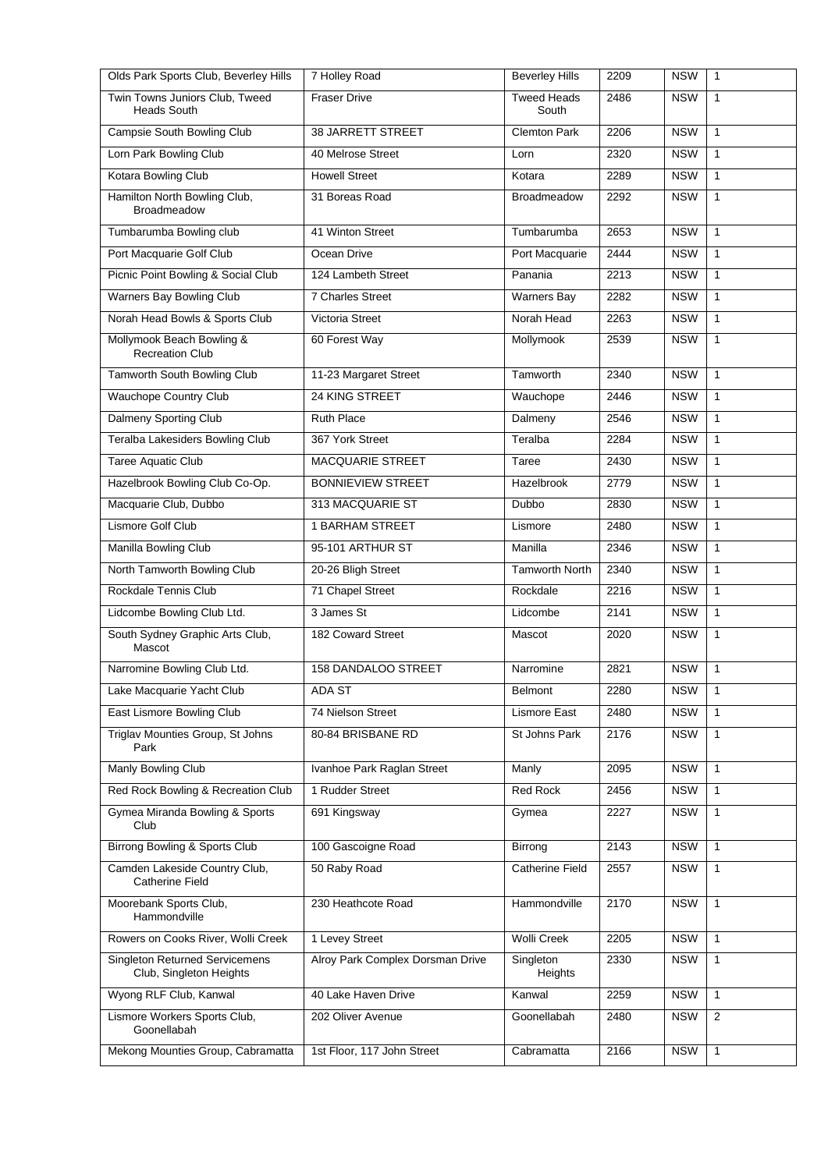| Olds Park Sports Club, Beverley Hills                            | 7 Holley Road                    | <b>Beverley Hills</b>       | 2209 | <b>NSW</b> | $\mathbf{1}$ |
|------------------------------------------------------------------|----------------------------------|-----------------------------|------|------------|--------------|
| Twin Towns Juniors Club, Tweed<br><b>Heads South</b>             | <b>Fraser Drive</b>              | <b>Tweed Heads</b><br>South | 2486 | <b>NSW</b> | 1            |
| Campsie South Bowling Club                                       | 38 JARRETT STREET                | <b>Clemton Park</b>         | 2206 | <b>NSW</b> | 1            |
| Lorn Park Bowling Club                                           | 40 Melrose Street                | Lorn                        | 2320 | <b>NSW</b> | $\mathbf{1}$ |
| Kotara Bowling Club                                              | <b>Howell Street</b>             | Kotara                      | 2289 | <b>NSW</b> | $\mathbf{1}$ |
| Hamilton North Bowling Club,<br><b>Broadmeadow</b>               | 31 Boreas Road                   | <b>Broadmeadow</b>          | 2292 | <b>NSW</b> | $\mathbf{1}$ |
| Tumbarumba Bowling club                                          | 41 Winton Street                 | Tumbarumba                  | 2653 | <b>NSW</b> | 1            |
| Port Macquarie Golf Club                                         | Ocean Drive                      | Port Macquarie              | 2444 | <b>NSW</b> | 1            |
| Picnic Point Bowling & Social Club                               | 124 Lambeth Street               | Panania                     | 2213 | <b>NSW</b> | $\mathbf{1}$ |
| Warners Bay Bowling Club                                         | 7 Charles Street                 | <b>Warners Bay</b>          | 2282 | <b>NSW</b> | $\mathbf{1}$ |
| Norah Head Bowls & Sports Club                                   | Victoria Street                  | Norah Head                  | 2263 | <b>NSW</b> | $\mathbf{1}$ |
| Mollymook Beach Bowling &<br><b>Recreation Club</b>              | 60 Forest Way                    | Mollymook                   | 2539 | <b>NSW</b> | $\mathbf{1}$ |
| Tamworth South Bowling Club                                      | 11-23 Margaret Street            | Tamworth                    | 2340 | <b>NSW</b> | $\mathbf{1}$ |
| <b>Wauchope Country Club</b>                                     | 24 KING STREET                   | Wauchope                    | 2446 | <b>NSW</b> | $\mathbf{1}$ |
| Dalmeny Sporting Club                                            | <b>Ruth Place</b>                | Dalmeny                     | 2546 | <b>NSW</b> | $\mathbf{1}$ |
| <b>Teralba Lakesiders Bowling Club</b>                           | 367 York Street                  | Teralba                     | 2284 | <b>NSW</b> | $\mathbf{1}$ |
| Taree Aquatic Club                                               | MACQUARIE STREET                 | Taree                       | 2430 | <b>NSW</b> | $\mathbf{1}$ |
| Hazelbrook Bowling Club Co-Op.                                   | <b>BONNIEVIEW STREET</b>         | Hazelbrook                  | 2779 | <b>NSW</b> | $\mathbf{1}$ |
| Macquarie Club, Dubbo                                            | 313 MACQUARIE ST                 | Dubbo                       | 2830 | <b>NSW</b> | $\mathbf{1}$ |
| Lismore Golf Club                                                | 1 BARHAM STREET                  | Lismore                     | 2480 | <b>NSW</b> | $\mathbf{1}$ |
| Manilla Bowling Club                                             | 95-101 ARTHUR ST                 | Manilla                     | 2346 | <b>NSW</b> | $\mathbf{1}$ |
| North Tamworth Bowling Club                                      | 20-26 Bligh Street               | <b>Tamworth North</b>       | 2340 | <b>NSW</b> | 1            |
| Rockdale Tennis Club                                             | 71 Chapel Street                 | Rockdale                    | 2216 | <b>NSW</b> | 1            |
| Lidcombe Bowling Club Ltd.                                       | 3 James St                       | Lidcombe                    | 2141 | <b>NSW</b> | $\mathbf{1}$ |
| South Sydney Graphic Arts Club,<br>Mascot                        | 182 Coward Street                | Mascot                      | 2020 | <b>NSW</b> | $\mathbf{1}$ |
| Narromine Bowling Club Ltd.                                      | 158 DANDALOO STREET              | Narromine                   | 2821 | <b>NSW</b> | $\mathbf{1}$ |
| Lake Macquarie Yacht Club                                        | ADA ST                           | Belmont                     | 2280 | NSW 1      |              |
| East Lismore Bowling Club                                        | 74 Nielson Street                | Lismore East                | 2480 | <b>NSW</b> | 1            |
| Triglav Mounties Group, St Johns<br>Park                         | 80-84 BRISBANE RD                | St Johns Park               | 2176 | <b>NSW</b> | 1            |
| Manly Bowling Club                                               | Ivanhoe Park Raglan Street       | Manly                       | 2095 | <b>NSW</b> | $\mathbf{1}$ |
| Red Rock Bowling & Recreation Club                               | 1 Rudder Street                  | <b>Red Rock</b>             | 2456 | <b>NSW</b> | $\mathbf{1}$ |
| Gymea Miranda Bowling & Sports<br>Club                           | 691 Kingsway                     | Gymea                       | 2227 | <b>NSW</b> | 1            |
| Birrong Bowling & Sports Club                                    | 100 Gascoigne Road               | Birrong                     | 2143 | <b>NSW</b> | $\mathbf{1}$ |
| Camden Lakeside Country Club,<br><b>Catherine Field</b>          | 50 Raby Road                     | <b>Catherine Field</b>      | 2557 | <b>NSW</b> | 1            |
| Moorebank Sports Club,<br>Hammondville                           | 230 Heathcote Road               | Hammondville                | 2170 | <b>NSW</b> | $\mathbf{1}$ |
| Rowers on Cooks River, Wolli Creek                               | 1 Levey Street                   | <b>Wolli Creek</b>          | 2205 | <b>NSW</b> | $\mathbf{1}$ |
| <b>Singleton Returned Servicemens</b><br>Club, Singleton Heights | Alroy Park Complex Dorsman Drive | Singleton<br>Heights        | 2330 | <b>NSW</b> | 1            |
| Wyong RLF Club, Kanwal                                           | 40 Lake Haven Drive              | Kanwal                      | 2259 | <b>NSW</b> | 1            |
| Lismore Workers Sports Club,<br>Goonellabah                      | 202 Oliver Avenue                | Goonellabah                 | 2480 | <b>NSW</b> | 2            |
| Mekong Mounties Group, Cabramatta                                | 1st Floor, 117 John Street       | Cabramatta                  | 2166 | <b>NSW</b> | $\mathbf{1}$ |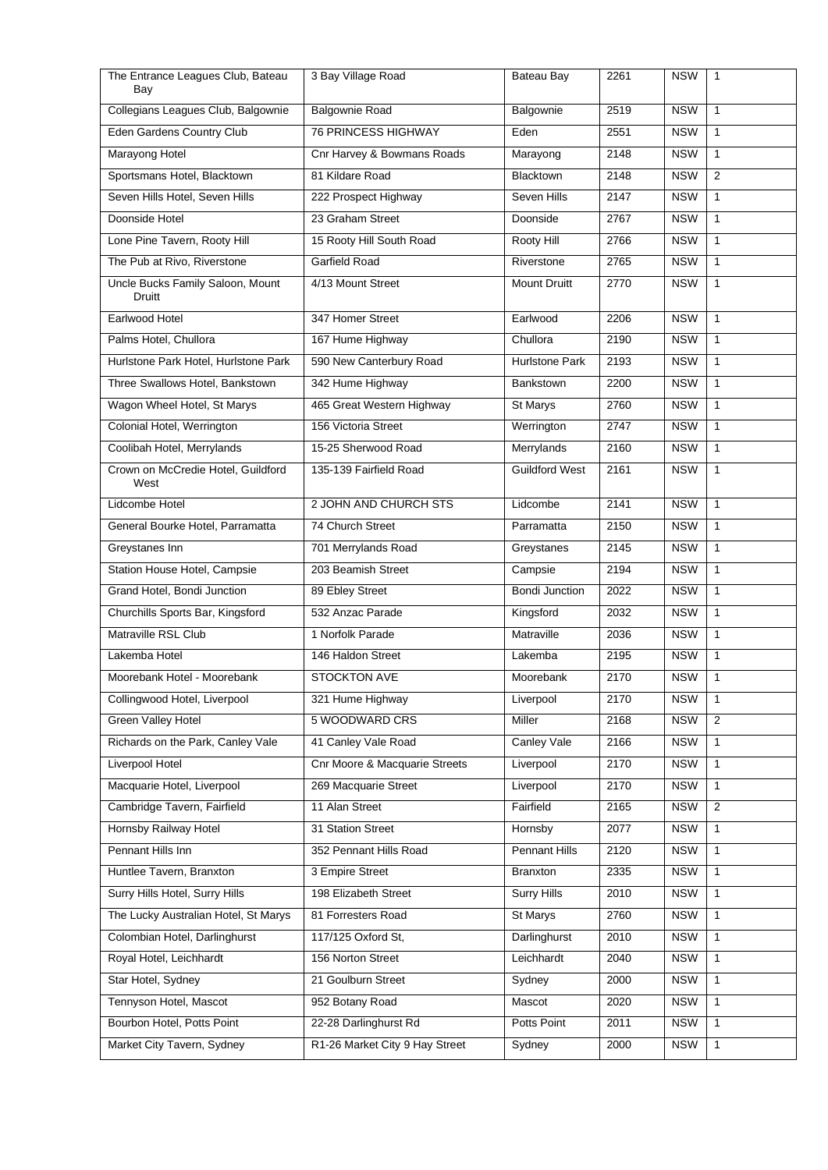| The Entrance Leagues Club, Bateau<br>Bay   | 3 Bay Village Road             | Bateau Bay            | 2261             | <b>NSW</b> | $\mathbf{1}$   |
|--------------------------------------------|--------------------------------|-----------------------|------------------|------------|----------------|
| Collegians Leagues Club, Balgownie         | <b>Balgownie Road</b>          | Balgownie             | 2519             | <b>NSW</b> | $\mathbf{1}$   |
| Eden Gardens Country Club                  | <b>76 PRINCESS HIGHWAY</b>     | Eden                  | 2551             | <b>NSW</b> | $\mathbf{1}$   |
| Marayong Hotel                             | Cnr Harvey & Bowmans Roads     | Marayong              | 2148             | <b>NSW</b> | $\mathbf{1}$   |
| Sportsmans Hotel, Blacktown                | 81 Kildare Road                | <b>Blacktown</b>      | 2148             | <b>NSW</b> | 2              |
| Seven Hills Hotel, Seven Hills             | 222 Prospect Highway           | Seven Hills           | 2147             | <b>NSW</b> | $\mathbf{1}$   |
| Doonside Hotel                             | 23 Graham Street               | Doonside              | 2767             | <b>NSW</b> | $\mathbf{1}$   |
| Lone Pine Tavern, Rooty Hill               | 15 Rooty Hill South Road       | Rooty Hill            | 2766             | <b>NSW</b> | $\mathbf{1}$   |
| The Pub at Rivo, Riverstone                | Garfield Road                  | Riverstone            | 2765             | <b>NSW</b> | $\mathbf{1}$   |
| Uncle Bucks Family Saloon, Mount<br>Druitt | 4/13 Mount Street              | <b>Mount Druitt</b>   | 2770             | <b>NSW</b> | 1              |
| Earlwood Hotel                             | 347 Homer Street               | Earlwood              | 2206             | <b>NSW</b> | $\mathbf{1}$   |
| Palms Hotel, Chullora                      | 167 Hume Highway               | Chullora              | 2190             | <b>NSW</b> | $\mathbf{1}$   |
| Hurlstone Park Hotel, Hurlstone Park       | 590 New Canterbury Road        | <b>Hurlstone Park</b> | 2193             | <b>NSW</b> | $\mathbf{1}$   |
| Three Swallows Hotel, Bankstown            | 342 Hume Highway               | Bankstown             | 2200             | <b>NSW</b> | $\mathbf{1}$   |
| Wagon Wheel Hotel, St Marys                | 465 Great Western Highway      | St Marys              | 2760             | <b>NSW</b> | $\mathbf{1}$   |
| Colonial Hotel, Werrington                 | 156 Victoria Street            | Werrington            | 2747             | <b>NSW</b> | $\mathbf{1}$   |
| Coolibah Hotel, Merrylands                 | 15-25 Sherwood Road            | Merrylands            | 2160             | <b>NSW</b> | $\mathbf{1}$   |
| Crown on McCredie Hotel, Guildford<br>West | 135-139 Fairfield Road         | <b>Guildford West</b> | 2161             | <b>NSW</b> | $\mathbf{1}$   |
| Lidcombe Hotel                             | 2 JOHN AND CHURCH STS          | Lidcombe              | 2141             | <b>NSW</b> | $\mathbf{1}$   |
| General Bourke Hotel, Parramatta           | 74 Church Street               | Parramatta            | 2150             | <b>NSW</b> | $\mathbf{1}$   |
| Greystanes Inn                             | 701 Merrylands Road            | Greystanes            | $\frac{1}{2145}$ | <b>NSW</b> | $\mathbf{1}$   |
| Station House Hotel, Campsie               | 203 Beamish Street             | Campsie               | 2194             | <b>NSW</b> | $\mathbf{1}$   |
| Grand Hotel, Bondi Junction                | 89 Ebley Street                | <b>Bondi Junction</b> | 2022             | <b>NSW</b> | $\mathbf{1}$   |
| Churchills Sports Bar, Kingsford           | 532 Anzac Parade               | Kingsford             | 2032             | <b>NSW</b> | $\mathbf{1}$   |
| Matraville RSL Club                        | 1 Norfolk Parade               | Matraville            | 2036             | <b>NSW</b> | $\mathbf{1}$   |
| Lakemba Hotel                              | 146 Haldon Street              | Lakemba               | 2195             | <b>NSW</b> | $\mathbf{1}$   |
| Moorebank Hotel - Moorebank                | STOCKTON AVE                   | Moorebank             | 2170             | <b>NSW</b> | $\mathbf{1}$   |
| Collingwood Hotel, Liverpool               | 321 Hume Highway               | Liverpool             | 2170             | <b>NSW</b> | 1              |
| Green Valley Hotel                         | 5 WOODWARD CRS                 | Miller                | 2168             | <b>NSW</b> | $\overline{2}$ |
| Richards on the Park, Canley Vale          | 41 Canley Vale Road            | Canley Vale           | 2166             | <b>NSW</b> | 1              |
| Liverpool Hotel                            | Cnr Moore & Macquarie Streets  | Liverpool             | 2170             | <b>NSW</b> | $\mathbf{1}$   |
| Macquarie Hotel, Liverpool                 | 269 Macquarie Street           | Liverpool             | 2170             | <b>NSW</b> | 1              |
| Cambridge Tavern, Fairfield                | 11 Alan Street                 | Fairfield             | 2165             | <b>NSW</b> | 2              |
| Hornsby Railway Hotel                      | 31 Station Street              | Hornsby               | 2077             | <b>NSW</b> | $\mathbf{1}$   |
| Pennant Hills Inn                          | 352 Pennant Hills Road         | Pennant Hills         | 2120             | <b>NSW</b> | 1              |
| Huntlee Tavern, Branxton                   | 3 Empire Street                | Branxton              | 2335             | <b>NSW</b> | $\mathbf{1}$   |
| Surry Hills Hotel, Surry Hills             | 198 Elizabeth Street           | <b>Surry Hills</b>    | 2010             | <b>NSW</b> | 1              |
| The Lucky Australian Hotel, St Marys       | 81 Forresters Road             | St Marys              | 2760             | <b>NSW</b> | 1              |
| Colombian Hotel, Darlinghurst              | 117/125 Oxford St,             | Darlinghurst          | 2010             | <b>NSW</b> | 1              |
| Royal Hotel, Leichhardt                    | 156 Norton Street              | Leichhardt            | 2040             | <b>NSW</b> | 1              |
| Star Hotel, Sydney                         | 21 Goulburn Street             | Sydney                | 2000             | <b>NSW</b> | 1              |
| Tennyson Hotel, Mascot                     | 952 Botany Road                | Mascot                | 2020             | <b>NSW</b> | 1              |
| Bourbon Hotel, Potts Point                 | 22-28 Darlinghurst Rd          | Potts Point           | 2011             | <b>NSW</b> | $\mathbf{1}$   |
| Market City Tavern, Sydney                 | R1-26 Market City 9 Hay Street | Sydney                | 2000             | <b>NSW</b> | $\mathbf{1}$   |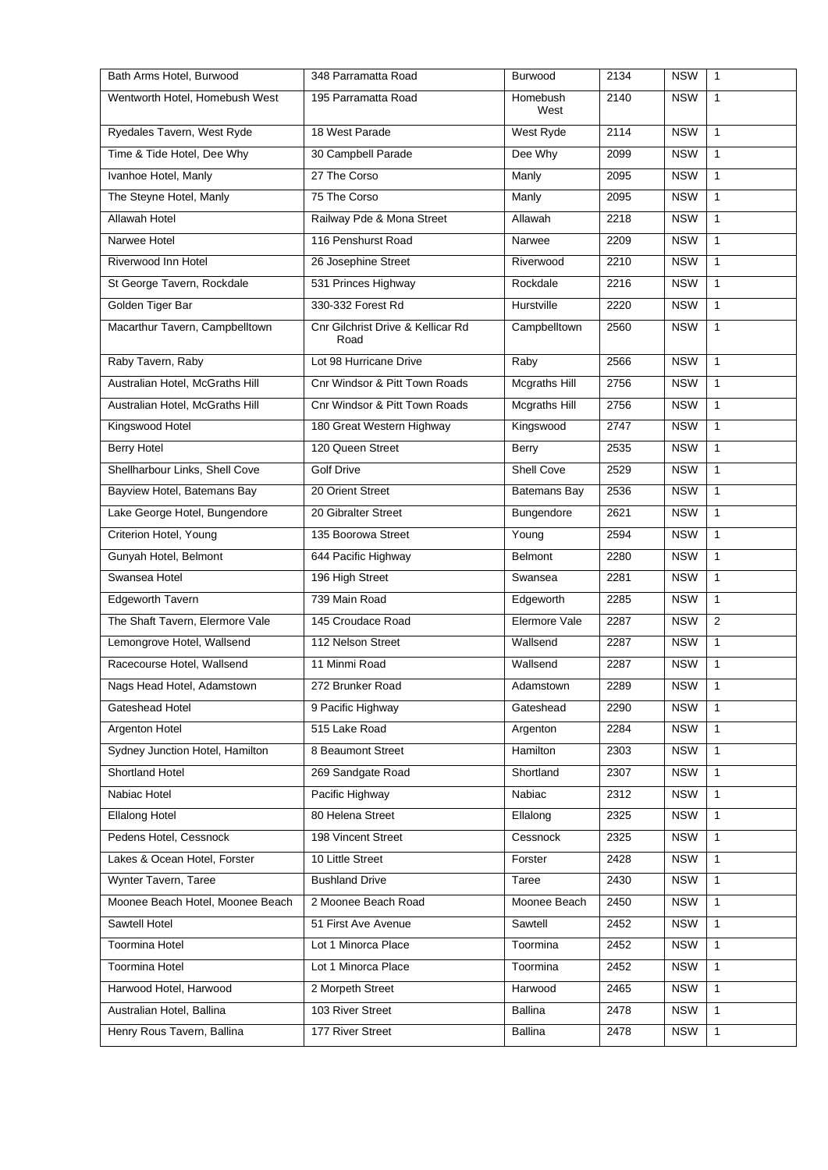| Bath Arms Hotel, Burwood         | 348 Parramatta Road                       | <b>Burwood</b>       | 2134 | <b>NSW</b> | $\mathbf{1}$   |
|----------------------------------|-------------------------------------------|----------------------|------|------------|----------------|
| Wentworth Hotel, Homebush West   | 195 Parramatta Road                       | Homebush<br>West     | 2140 | <b>NSW</b> | $\mathbf{1}$   |
| Ryedales Tavern, West Ryde       | 18 West Parade                            | West Ryde            | 2114 | <b>NSW</b> | $\mathbf{1}$   |
| Time & Tide Hotel, Dee Why       | 30 Campbell Parade                        | Dee Why              | 2099 | <b>NSW</b> | $\mathbf{1}$   |
| Ivanhoe Hotel, Manly             | 27 The Corso                              | Manly                | 2095 | <b>NSW</b> | $\mathbf{1}$   |
| The Steyne Hotel, Manly          | 75 The Corso                              | Manly                | 2095 | <b>NSW</b> | $\mathbf{1}$   |
| <b>Allawah Hotel</b>             | Railway Pde & Mona Street                 | Allawah              | 2218 | <b>NSW</b> | 1              |
| Narwee Hotel                     | 116 Penshurst Road                        | Narwee               | 2209 | <b>NSW</b> | $\mathbf{1}$   |
| Riverwood Inn Hotel              | 26 Josephine Street                       | Riverwood            | 2210 | <b>NSW</b> | $\mathbf{1}$   |
| St George Tavern, Rockdale       | 531 Princes Highway                       | Rockdale             | 2216 | <b>NSW</b> | $\mathbf{1}$   |
| Golden Tiger Bar                 | 330-332 Forest Rd                         | Hurstville           | 2220 | <b>NSW</b> | $\mathbf{1}$   |
| Macarthur Tavern, Campbelltown   | Cnr Gilchrist Drive & Kellicar Rd<br>Road | Campbelltown         | 2560 | <b>NSW</b> | $\mathbf{1}$   |
| Raby Tavern, Raby                | Lot 98 Hurricane Drive                    | Raby                 | 2566 | <b>NSW</b> | $\mathbf{1}$   |
| Australian Hotel, McGraths Hill  | Cnr Windsor & Pitt Town Roads             | <b>Mcgraths Hill</b> | 2756 | <b>NSW</b> | $\mathbf{1}$   |
| Australian Hotel, McGraths Hill  | Cnr Windsor & Pitt Town Roads             | <b>Mcgraths Hill</b> | 2756 | <b>NSW</b> | $\mathbf{1}$   |
| Kingswood Hotel                  | 180 Great Western Highway                 | Kingswood            | 2747 | <b>NSW</b> | $\mathbf{1}$   |
| <b>Berry Hotel</b>               | 120 Queen Street                          | Berry                | 2535 | <b>NSW</b> | $\mathbf{1}$   |
| Shellharbour Links, Shell Cove   | <b>Golf Drive</b>                         | Shell Cove           | 2529 | <b>NSW</b> | $\mathbf{1}$   |
| Bayview Hotel, Batemans Bay      | 20 Orient Street                          | <b>Batemans Bay</b>  | 2536 | <b>NSW</b> | $\mathbf{1}$   |
| Lake George Hotel, Bungendore    | 20 Gibralter Street                       | Bungendore           | 2621 | <b>NSW</b> | $\mathbf{1}$   |
| Criterion Hotel, Young           | 135 Boorowa Street                        | Young                | 2594 | <b>NSW</b> | $\mathbf{1}$   |
| Gunyah Hotel, Belmont            | 644 Pacific Highway                       | <b>Belmont</b>       | 2280 | <b>NSW</b> | $\mathbf{1}$   |
| Swansea Hotel                    | 196 High Street                           | Swansea              | 2281 | <b>NSW</b> | 1              |
| Edgeworth Tavern                 | 739 Main Road                             | Edgeworth            | 2285 | <b>NSW</b> | $\mathbf{1}$   |
| The Shaft Tavern, Elermore Vale  | 145 Croudace Road                         | Elermore Vale        | 2287 | <b>NSW</b> | $\overline{2}$ |
| Lemongrove Hotel, Wallsend       | 112 Nelson Street                         | Wallsend             | 2287 | <b>NSW</b> | $\mathbf{1}$   |
| Racecourse Hotel, Wallsend       | 11 Minmi Road                             | Wallsend             | 2287 | <b>NSW</b> | $\mathbf{1}$   |
| Nags Head Hotel, Adamstown       | 272 Brunker Road                          | Adamstown            | 2289 | <b>NSW</b> | $\mathbf{1}$   |
| Gateshead Hotel                  | 9 Pacific Highway                         | Gateshead            | 2290 | <b>NSW</b> | $\mathbf{1}$   |
| <b>Argenton Hotel</b>            | 515 Lake Road                             | Argenton             | 2284 | <b>NSW</b> | $\mathbf{1}$   |
| Sydney Junction Hotel, Hamilton  | 8 Beaumont Street                         | Hamilton             | 2303 | <b>NSW</b> | $\mathbf{1}$   |
| <b>Shortland Hotel</b>           | 269 Sandgate Road                         | Shortland            | 2307 | <b>NSW</b> | $\mathbf{1}$   |
| Nabiac Hotel                     | Pacific Highway                           | Nabiac               | 2312 | <b>NSW</b> | 1              |
| <b>Ellalong Hotel</b>            | 80 Helena Street                          | Ellalong             | 2325 | <b>NSW</b> | $\mathbf{1}$   |
| Pedens Hotel, Cessnock           | 198 Vincent Street                        | Cessnock             | 2325 | <b>NSW</b> | $\mathbf{1}$   |
| Lakes & Ocean Hotel, Forster     | 10 Little Street                          | Forster              | 2428 | <b>NSW</b> | $\mathbf{1}$   |
| Wynter Tavern, Taree             | <b>Bushland Drive</b>                     | Taree                | 2430 | <b>NSW</b> | $\mathbf{1}$   |
| Moonee Beach Hotel, Moonee Beach | 2 Moonee Beach Road                       | Moonee Beach         | 2450 | <b>NSW</b> | 1              |
| Sawtell Hotel                    | 51 First Ave Avenue                       | Sawtell              | 2452 | <b>NSW</b> | $\mathbf{1}$   |
| <b>Toormina Hotel</b>            | Lot 1 Minorca Place                       | Toormina             | 2452 | <b>NSW</b> | $\mathbf{1}$   |
| Toormina Hotel                   | Lot 1 Minorca Place                       | Toormina             | 2452 | <b>NSW</b> | $\mathbf{1}$   |
| Harwood Hotel, Harwood           | 2 Morpeth Street                          | Harwood              | 2465 | <b>NSW</b> | $\mathbf{1}$   |
| Australian Hotel, Ballina        | 103 River Street                          | Ballina              | 2478 | <b>NSW</b> | $\mathbf{1}$   |
| Henry Rous Tavern, Ballina       | 177 River Street                          | Ballina              | 2478 | <b>NSW</b> | $\mathbf{1}$   |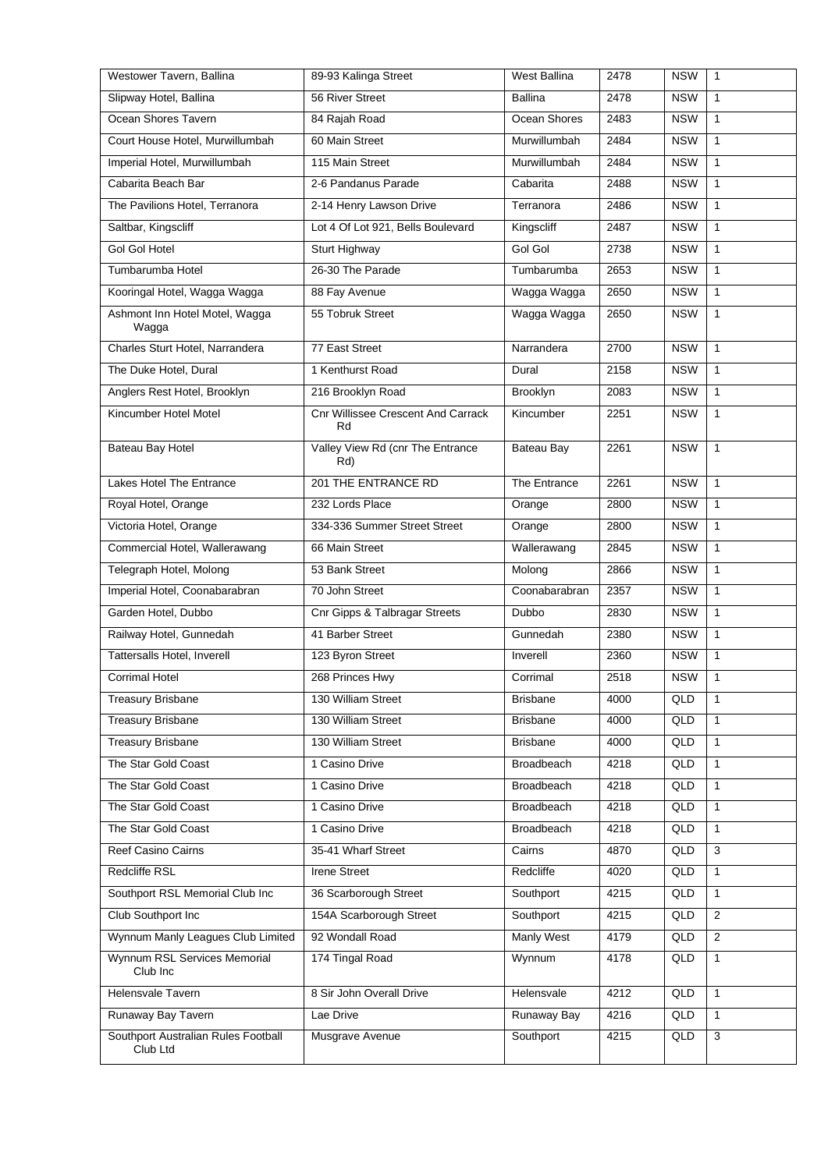| Westower Tavern, Ballina                        | 89-93 Kalinga Street                     | West Ballina      | 2478 | <b>NSW</b> | $\mathbf{1}$   |
|-------------------------------------------------|------------------------------------------|-------------------|------|------------|----------------|
| Slipway Hotel, Ballina                          | 56 River Street                          | <b>Ballina</b>    | 2478 | <b>NSW</b> | $\mathbf{1}$   |
| Ocean Shores Tavern                             | 84 Rajah Road                            | Ocean Shores      | 2483 | <b>NSW</b> | $\mathbf{1}$   |
| Court House Hotel, Murwillumbah                 | 60 Main Street                           | Murwillumbah      | 2484 | <b>NSW</b> | $\mathbf{1}$   |
| Imperial Hotel, Murwillumbah                    | 115 Main Street                          | Murwillumbah      | 2484 | <b>NSW</b> | $\mathbf{1}$   |
| Cabarita Beach Bar                              | 2-6 Pandanus Parade                      | Cabarita          | 2488 | <b>NSW</b> | $\mathbf{1}$   |
| The Pavilions Hotel, Terranora                  | 2-14 Henry Lawson Drive                  | Terranora         | 2486 | <b>NSW</b> | $\mathbf{1}$   |
| Saltbar, Kingscliff                             | Lot 4 Of Lot 921, Bells Boulevard        | Kingscliff        | 2487 | <b>NSW</b> | $\mathbf{1}$   |
| <b>Gol Gol Hotel</b>                            | Sturt Highway                            | Gol Gol           | 2738 | <b>NSW</b> | $\mathbf{1}$   |
| Tumbarumba Hotel                                | 26-30 The Parade                         | Tumbarumba        | 2653 | <b>NSW</b> | $\mathbf{1}$   |
| Kooringal Hotel, Wagga Wagga                    | 88 Fay Avenue                            | Wagga Wagga       | 2650 | <b>NSW</b> | $\mathbf{1}$   |
| Ashmont Inn Hotel Motel, Wagga<br>Wagga         | 55 Tobruk Street                         | Wagga Wagga       | 2650 | <b>NSW</b> | $\mathbf{1}$   |
| Charles Sturt Hotel, Narrandera                 | 77 East Street                           | Narrandera        | 2700 | <b>NSW</b> | $\mathbf{1}$   |
| The Duke Hotel, Dural                           | 1 Kenthurst Road                         | Dural             | 2158 | <b>NSW</b> | $\mathbf{1}$   |
| Anglers Rest Hotel, Brooklyn                    | 216 Brooklyn Road                        | Brooklyn          | 2083 | <b>NSW</b> | $\mathbf{1}$   |
| Kincumber Hotel Motel                           | Cnr Willissee Crescent And Carrack<br>Rd | Kincumber         | 2251 | <b>NSW</b> | $\mathbf{1}$   |
| Bateau Bay Hotel                                | Valley View Rd (cnr The Entrance<br>Rd)  | Bateau Bay        | 2261 | <b>NSW</b> | $\mathbf{1}$   |
| Lakes Hotel The Entrance                        | 201 THE ENTRANCE RD                      | The Entrance      | 2261 | <b>NSW</b> | $\mathbf{1}$   |
| Royal Hotel, Orange                             | 232 Lords Place                          | Orange            | 2800 | <b>NSW</b> | $\mathbf{1}$   |
| Victoria Hotel, Orange                          | 334-336 Summer Street Street             | Orange            | 2800 | <b>NSW</b> | $\mathbf{1}$   |
| Commercial Hotel, Wallerawang                   | 66 Main Street                           | Wallerawang       | 2845 | <b>NSW</b> | $\mathbf{1}$   |
| Telegraph Hotel, Molong                         | 53 Bank Street                           | Molong            | 2866 | <b>NSW</b> | $\mathbf{1}$   |
| Imperial Hotel, Coonabarabran                   | 70 John Street                           | Coonabarabran     | 2357 | <b>NSW</b> | $\mathbf{1}$   |
| Garden Hotel, Dubbo                             | Cnr Gipps & Talbragar Streets            | Dubbo             | 2830 | <b>NSW</b> | $\mathbf{1}$   |
| Railway Hotel, Gunnedah                         | 41 Barber Street                         | Gunnedah          | 2380 | <b>NSW</b> | $\mathbf{1}$   |
| Tattersalls Hotel, Inverell                     | 123 Byron Street                         | Inverell          | 2360 | <b>NSW</b> | $\mathbf{1}$   |
| <b>Corrimal Hotel</b>                           | 268 Princes Hwy                          | Corrimal          | 2518 | <b>NSW</b> | $\mathbf{1}$   |
| <b>Treasury Brisbane</b>                        | 130 William Street                       | <b>Brisbane</b>   | 4000 | QLD        | 1              |
| <b>Treasury Brisbane</b>                        | 130 William Street                       | <b>Brisbane</b>   | 4000 | QLD        | $\mathbf{1}$   |
| <b>Treasury Brisbane</b>                        | 130 William Street                       | <b>Brisbane</b>   | 4000 | QLD        | $\mathbf{1}$   |
| The Star Gold Coast                             | 1 Casino Drive                           | <b>Broadbeach</b> | 4218 | QLD        | $\mathbf{1}$   |
| The Star Gold Coast                             | 1 Casino Drive                           | <b>Broadbeach</b> | 4218 | QLD        | $\mathbf{1}$   |
| The Star Gold Coast                             | 1 Casino Drive                           | <b>Broadbeach</b> | 4218 | QLD        | $\mathbf{1}$   |
| The Star Gold Coast                             | 1 Casino Drive                           | <b>Broadbeach</b> | 4218 | QLD        | $\mathbf{1}$   |
| Reef Casino Cairns                              | 35-41 Wharf Street                       | Cairns            | 4870 | QLD        | 3              |
| Redcliffe RSL                                   | Irene Street                             | Redcliffe         | 4020 | QLD        | $\mathbf{1}$   |
| Southport RSL Memorial Club Inc                 | 36 Scarborough Street                    | Southport         | 4215 | QLD        | $\mathbf{1}$   |
| Club Southport Inc                              | 154A Scarborough Street                  | Southport         | 4215 | QLD        | $\overline{2}$ |
| Wynnum Manly Leagues Club Limited               | 92 Wondall Road                          | <b>Manly West</b> | 4179 | QLD        | 2              |
| Wynnum RSL Services Memorial<br>Club Inc        | 174 Tingal Road                          | Wynnum            | 4178 | QLD        | $\mathbf{1}$   |
| Helensvale Tavern                               | 8 Sir John Overall Drive                 | Helensvale        | 4212 | QLD        | $\mathbf{1}$   |
| Runaway Bay Tavern                              | Lae Drive                                | Runaway Bay       | 4216 | QLD        | $\mathbf{1}$   |
| Southport Australian Rules Football<br>Club Ltd | Musgrave Avenue                          | Southport         | 4215 | QLD        | 3              |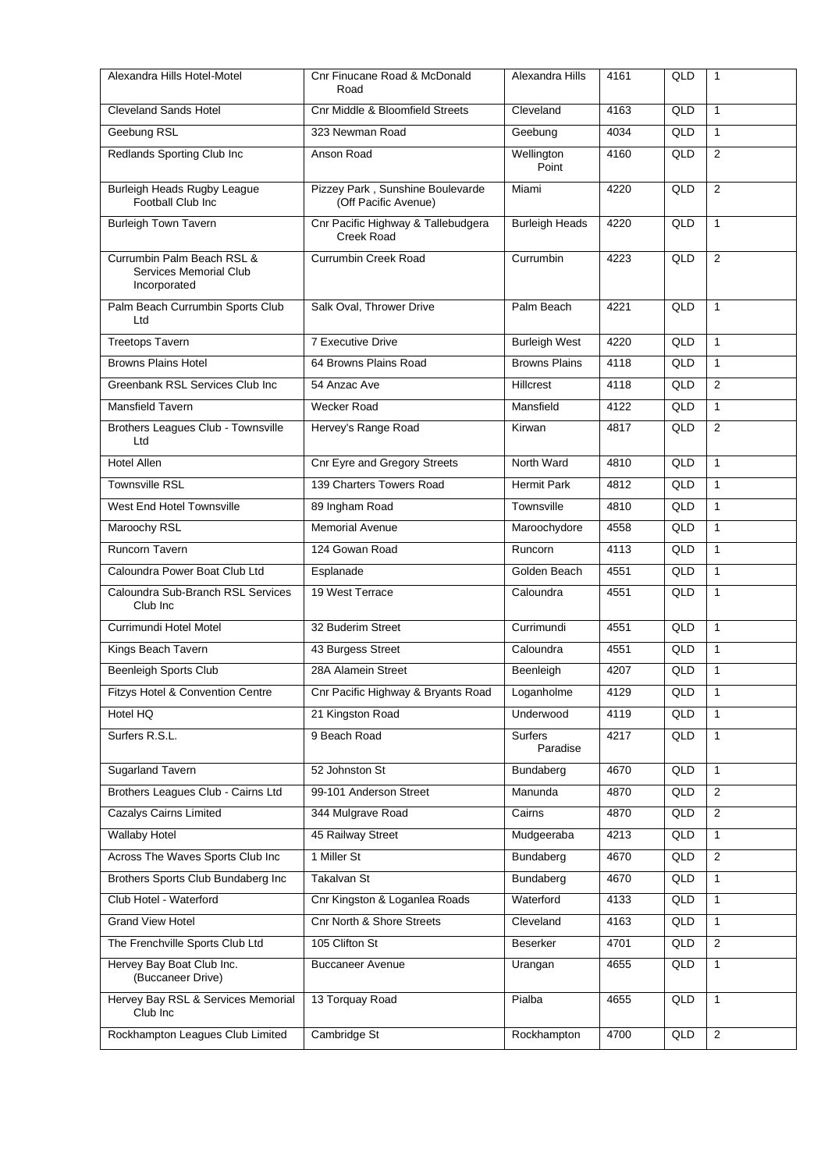| Alexandra Hills Hotel-Motel                                          | Cnr Finucane Road & McDonald<br>Road                     | Alexandra Hills       | 4161 | QLD | $\mathbf{1}$   |
|----------------------------------------------------------------------|----------------------------------------------------------|-----------------------|------|-----|----------------|
| <b>Cleveland Sands Hotel</b>                                         | Cnr Middle & Bloomfield Streets                          | Cleveland             | 4163 | QLD | $\mathbf{1}$   |
| Geebung RSL                                                          | 323 Newman Road                                          | Geebung               | 4034 | QLD | $\mathbf{1}$   |
| Redlands Sporting Club Inc                                           | Anson Road                                               | Wellington<br>Point   | 4160 | QLD | 2              |
| <b>Burleigh Heads Rugby League</b><br>Football Club Inc              | Pizzey Park, Sunshine Boulevarde<br>(Off Pacific Avenue) | Miami                 | 4220 | QLD | $\overline{2}$ |
| <b>Burleigh Town Tavern</b>                                          | Cnr Pacific Highway & Tallebudgera<br>Creek Road         | <b>Burleigh Heads</b> | 4220 | QLD | $\mathbf{1}$   |
| Currumbin Palm Beach RSL &<br>Services Memorial Club<br>Incorporated | <b>Currumbin Creek Road</b>                              | Currumbin             | 4223 | QLD | 2              |
| Palm Beach Currumbin Sports Club<br>Ltd                              | Salk Oval, Thrower Drive                                 | Palm Beach            | 4221 | QLD | $\mathbf{1}$   |
| <b>Treetops Tavern</b>                                               | <b>7 Executive Drive</b>                                 | <b>Burleigh West</b>  | 4220 | QLD | $\mathbf{1}$   |
| <b>Browns Plains Hotel</b>                                           | 64 Browns Plains Road                                    | <b>Browns Plains</b>  | 4118 | QLD | $\mathbf{1}$   |
| Greenbank RSL Services Club Inc                                      | 54 Anzac Ave                                             | Hillcrest             | 4118 | QLD | 2              |
| <b>Mansfield Tavern</b>                                              | <b>Wecker Road</b>                                       | Mansfield             | 4122 | QLD | $\mathbf{1}$   |
| Brothers Leagues Club - Townsville<br>Ltd                            | Hervey's Range Road                                      | Kirwan                | 4817 | QLD | $\overline{2}$ |
| <b>Hotel Allen</b>                                                   | <b>Cnr Eyre and Gregory Streets</b>                      | North Ward            | 4810 | QLD | $\mathbf{1}$   |
| <b>Townsville RSL</b>                                                | 139 Charters Towers Road                                 | <b>Hermit Park</b>    | 4812 | QLD | $\mathbf{1}$   |
| West End Hotel Townsville                                            | 89 Ingham Road                                           | Townsville            | 4810 | QLD | $\mathbf{1}$   |
| Maroochy RSL                                                         | <b>Memorial Avenue</b>                                   | Maroochydore          | 4558 | QLD | $\mathbf{1}$   |
| Runcorn Tavern                                                       | 124 Gowan Road                                           | Runcorn               | 4113 | QLD | $\mathbf{1}$   |
| Caloundra Power Boat Club Ltd                                        | Esplanade                                                | Golden Beach          | 4551 | QLD | $\mathbf{1}$   |
| Caloundra Sub-Branch RSL Services<br>Club Inc.                       | 19 West Terrace                                          | Caloundra             | 4551 | QLD | $\mathbf{1}$   |
| Currimundi Hotel Motel                                               | 32 Buderim Street                                        | Currimundi            | 4551 | QLD | $\mathbf{1}$   |
| Kings Beach Tavern                                                   | 43 Burgess Street                                        | Caloundra             | 4551 | QLD | $\mathbf{1}$   |
| <b>Beenleigh Sports Club</b>                                         | 28A Alamein Street                                       | Beenleigh             | 4207 | QLD | $\mathbf{1}$   |
| Fitzys Hotel & Convention Centre                                     | Cnr Pacific Highway & Bryants Road                       | Loganholme            | 4129 | QLD | 1              |
| Hotel HQ                                                             | 21 Kingston Road                                         | Underwood             | 4119 | QLD | $\mathbf{1}$   |
| Surfers R.S.L.                                                       | 9 Beach Road                                             | Surfers<br>Paradise   | 4217 | QLD | $\mathbf{1}$   |
| Sugarland Tavern                                                     | 52 Johnston St                                           | Bundaberg             | 4670 | QLD | $\mathbf{1}$   |
| Brothers Leagues Club - Cairns Ltd                                   | 99-101 Anderson Street                                   | Manunda               | 4870 | QLD | $\overline{2}$ |
| <b>Cazalys Cairns Limited</b>                                        | 344 Mulgrave Road                                        | Cairns                | 4870 | QLD | $\overline{2}$ |
| <b>Wallaby Hotel</b>                                                 | 45 Railway Street                                        | Mudgeeraba            | 4213 | QLD | 1              |
| Across The Waves Sports Club Inc                                     | 1 Miller St                                              | Bundaberg             | 4670 | QLD | $\overline{2}$ |
| Brothers Sports Club Bundaberg Inc                                   | Takalvan St                                              | Bundaberg             | 4670 | QLD | $\mathbf{1}$   |
| Club Hotel - Waterford                                               | Cnr Kingston & Loganlea Roads                            | Waterford             | 4133 | QLD | $\mathbf{1}$   |
| <b>Grand View Hotel</b>                                              | Cnr North & Shore Streets                                | Cleveland             | 4163 | QLD | $\mathbf{1}$   |
| The Frenchville Sports Club Ltd                                      | 105 Clifton St                                           | Beserker              | 4701 | QLD | $\overline{2}$ |
| Hervey Bay Boat Club Inc.<br>(Buccaneer Drive)                       | <b>Buccaneer Avenue</b>                                  | Urangan               | 4655 | QLD | $\mathbf{1}$   |
| Hervey Bay RSL & Services Memorial<br>Club Inc                       | 13 Torquay Road                                          | Pialba                | 4655 | QLD | 1              |
| Rockhampton Leagues Club Limited                                     | Cambridge St                                             | Rockhampton           | 4700 | QLD | $\overline{2}$ |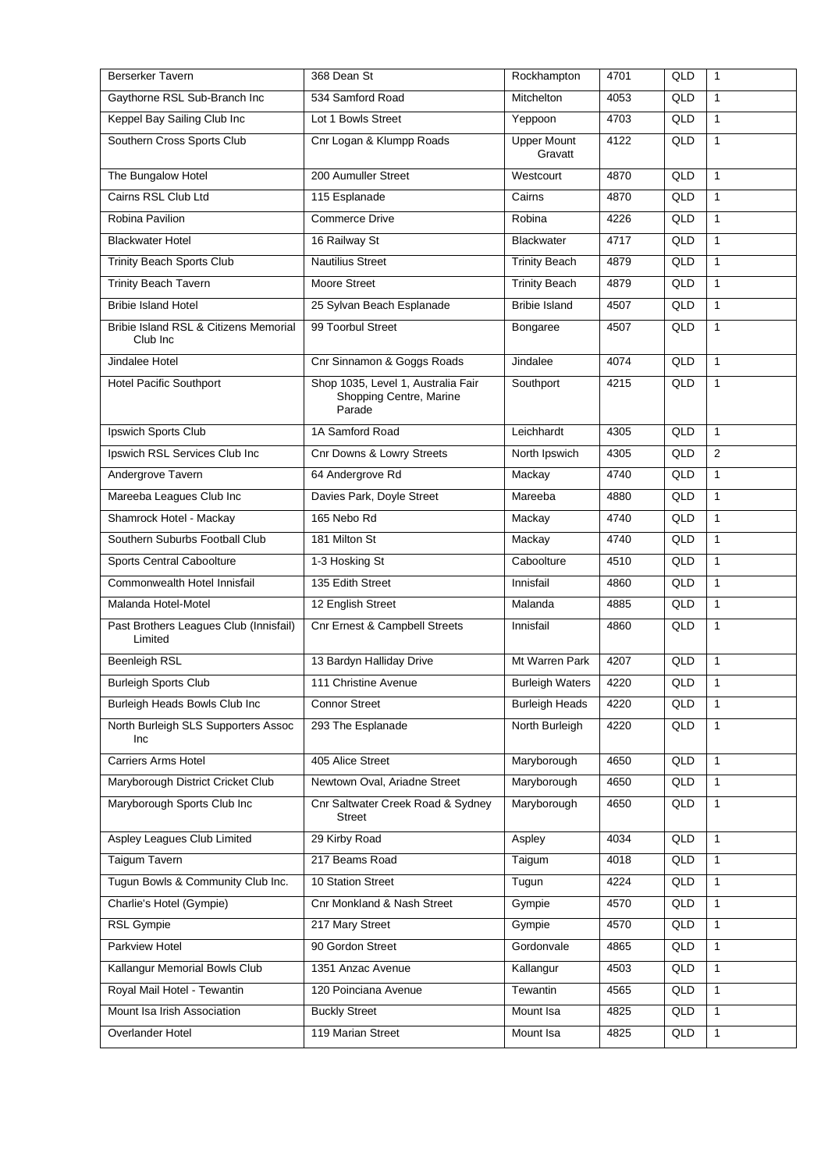| <b>Berserker Tavern</b>                           | 368 Dean St                                                             | Rockhampton                   | 4701 | QLD | $\mathbf{1}$ |
|---------------------------------------------------|-------------------------------------------------------------------------|-------------------------------|------|-----|--------------|
| Gaythorne RSL Sub-Branch Inc                      | 534 Samford Road                                                        | <b>Mitchelton</b>             | 4053 | QLD | $\mathbf{1}$ |
| Keppel Bay Sailing Club Inc                       | Lot 1 Bowls Street                                                      | Yeppoon                       | 4703 | QLD | $\mathbf{1}$ |
| Southern Cross Sports Club                        | Cnr Logan & Klumpp Roads                                                | <b>Upper Mount</b><br>Gravatt | 4122 | QLD | $\mathbf{1}$ |
| The Bungalow Hotel                                | 200 Aumuller Street                                                     | Westcourt                     | 4870 | QLD | $\mathbf{1}$ |
| Cairns RSL Club Ltd                               | 115 Esplanade                                                           | Cairns                        | 4870 | QLD | $\mathbf{1}$ |
| Robina Pavilion                                   | Commerce Drive                                                          | Robina                        | 4226 | QLD | $\mathbf{1}$ |
| <b>Blackwater Hotel</b>                           | 16 Railway St                                                           | <b>Blackwater</b>             | 4717 | QLD | $\mathbf{1}$ |
| Trinity Beach Sports Club                         | <b>Nautilius Street</b>                                                 | <b>Trinity Beach</b>          | 4879 | QLD | $\mathbf{1}$ |
| <b>Trinity Beach Tavern</b>                       | Moore Street                                                            | <b>Trinity Beach</b>          | 4879 | QLD | $\mathbf{1}$ |
| <b>Bribie Island Hotel</b>                        | 25 Sylvan Beach Esplanade                                               | <b>Bribie Island</b>          | 4507 | QLD | $\mathbf{1}$ |
| Bribie Island RSL & Citizens Memorial<br>Club Inc | 99 Toorbul Street                                                       | Bongaree                      | 4507 | QLD | $\mathbf{1}$ |
| Jindalee Hotel                                    | Cnr Sinnamon & Goggs Roads                                              | Jindalee                      | 4074 | QLD | $\mathbf{1}$ |
| <b>Hotel Pacific Southport</b>                    | Shop 1035, Level 1, Australia Fair<br>Shopping Centre, Marine<br>Parade | Southport                     | 4215 | QLD | $\mathbf{1}$ |
| Ipswich Sports Club                               | 1A Samford Road                                                         | Leichhardt                    | 4305 | QLD | $\mathbf{1}$ |
| Ipswich RSL Services Club Inc                     | Cnr Downs & Lowry Streets                                               | North Ipswich                 | 4305 | QLD | 2            |
| Andergrove Tavern                                 | 64 Andergrove Rd                                                        | Mackay                        | 4740 | QLD | $\mathbf{1}$ |
| Mareeba Leagues Club Inc                          | Davies Park, Doyle Street                                               | Mareeba                       | 4880 | QLD | $\mathbf{1}$ |
| Shamrock Hotel - Mackay                           | 165 Nebo Rd                                                             | Mackay                        | 4740 | QLD | $\mathbf{1}$ |
| Southern Suburbs Football Club                    | 181 Milton St                                                           | Mackay                        | 4740 | QLD | $\mathbf{1}$ |
| Sports Central Caboolture                         | 1-3 Hosking St                                                          | Caboolture                    | 4510 | QLD | $\mathbf{1}$ |
| Commonwealth Hotel Innisfail                      | 135 Edith Street                                                        | Innisfail                     | 4860 | QLD | $\mathbf{1}$ |
| Malanda Hotel-Motel                               | 12 English Street                                                       | Malanda                       | 4885 | QLD | $\mathbf{1}$ |
| Past Brothers Leagues Club (Innisfail)<br>Limited | <b>Cnr Ernest &amp; Campbell Streets</b>                                | Innisfail                     | 4860 | QLD | $\mathbf{1}$ |
| Beenleigh RSL                                     | 13 Bardyn Halliday Drive                                                | Mt Warren Park                | 4207 | QLD | $\mathbf{1}$ |
| <b>Burleigh Sports Club</b>                       | 111 Christine Avenue                                                    | <b>Burleigh Waters</b>        | 4220 | QLD | $\mathbf{1}$ |
| Burleigh Heads Bowls Club Inc                     | <b>Connor Street</b>                                                    | <b>Burleigh Heads</b>         | 4220 | QLD | $\mathbf{1}$ |
| North Burleigh SLS Supporters Assoc<br>Inc        | 293 The Esplanade                                                       | North Burleigh                | 4220 | QLD | 1            |
| <b>Carriers Arms Hotel</b>                        | 405 Alice Street                                                        | Maryborough                   | 4650 | QLD | $\mathbf{1}$ |
| Maryborough District Cricket Club                 | Newtown Oval, Ariadne Street                                            | Maryborough                   | 4650 | QLD | $\mathbf{1}$ |
| Maryborough Sports Club Inc                       | Cnr Saltwater Creek Road & Sydney<br>Street                             | Maryborough                   | 4650 | QLD | $\mathbf{1}$ |
| Aspley Leagues Club Limited                       | 29 Kirby Road                                                           | Aspley                        | 4034 | QLD | $\mathbf{1}$ |
| Taigum Tavern                                     | 217 Beams Road                                                          | Taigum                        | 4018 | QLD | 1            |
| Tugun Bowls & Community Club Inc.                 | 10 Station Street                                                       | Tugun                         | 4224 | QLD | $\mathbf{1}$ |
| Charlie's Hotel (Gympie)                          | Cnr Monkland & Nash Street                                              | Gympie                        | 4570 | QLD | $\mathbf{1}$ |
| RSL Gympie                                        | 217 Mary Street                                                         | Gympie                        | 4570 | QLD | 1            |
| Parkview Hotel                                    | 90 Gordon Street                                                        | Gordonvale                    | 4865 | QLD | $\mathbf{1}$ |
| Kallangur Memorial Bowls Club                     | 1351 Anzac Avenue                                                       | Kallangur                     | 4503 | QLD | $\mathbf{1}$ |
| Royal Mail Hotel - Tewantin                       | 120 Poinciana Avenue                                                    | Tewantin                      | 4565 | QLD | $\mathbf{1}$ |
| Mount Isa Irish Association                       | <b>Buckly Street</b>                                                    | Mount Isa                     | 4825 | QLD | $\mathbf{1}$ |
| Overlander Hotel                                  | 119 Marian Street                                                       | Mount Isa                     | 4825 | QLD | $\mathbf{1}$ |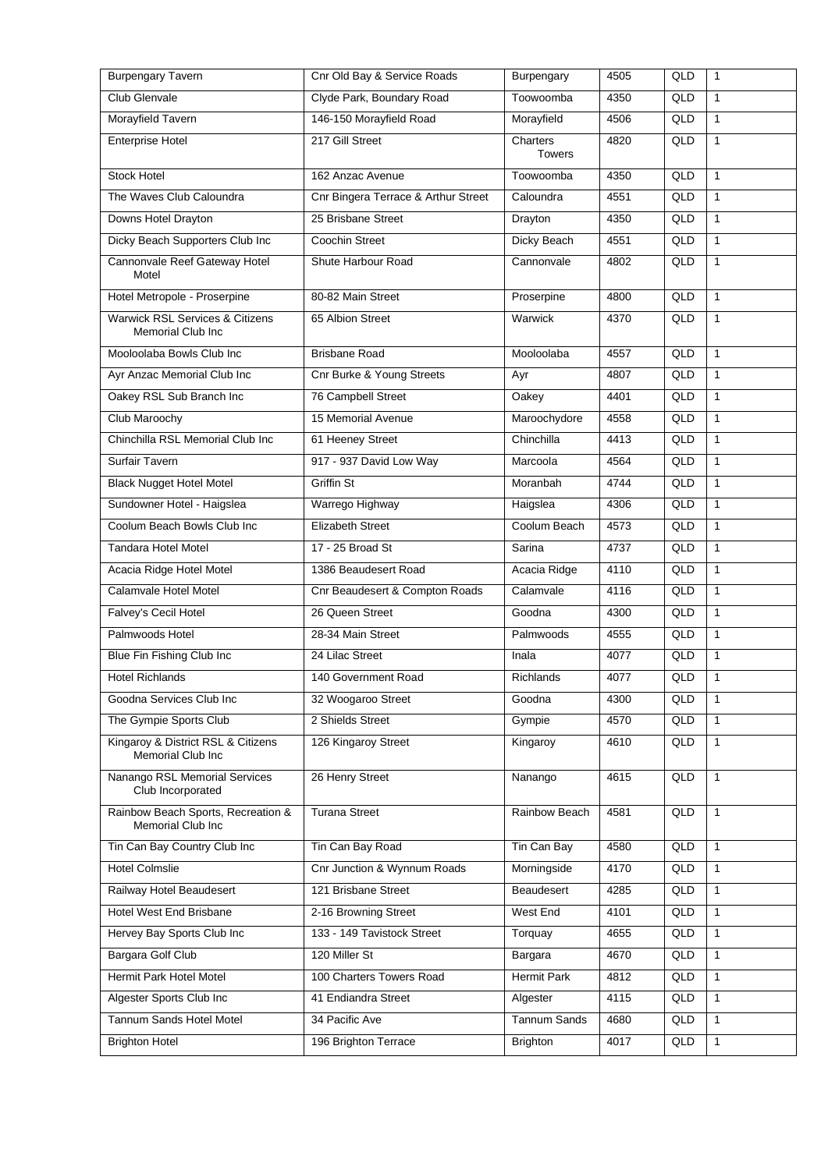| <b>Burpengary Tavern</b>                                    | Cnr Old Bay & Service Roads         | Burpengary                | 4505 | QLD | $\mathbf{1}$ |
|-------------------------------------------------------------|-------------------------------------|---------------------------|------|-----|--------------|
| Club Glenvale                                               | Clyde Park, Boundary Road           | Toowoomba                 | 4350 | QLD | $\mathbf{1}$ |
| Morayfield Tavern                                           | 146-150 Morayfield Road             | Morayfield                | 4506 | QLD | $\mathbf{1}$ |
| <b>Enterprise Hotel</b>                                     | 217 Gill Street                     | Charters<br><b>Towers</b> | 4820 | QLD | $\mathbf{1}$ |
| <b>Stock Hotel</b>                                          | 162 Anzac Avenue                    | Toowoomba                 | 4350 | QLD | $\mathbf{1}$ |
| The Waves Club Caloundra                                    | Cnr Bingera Terrace & Arthur Street | Caloundra                 | 4551 | QLD | $\mathbf{1}$ |
| Downs Hotel Drayton                                         | 25 Brisbane Street                  | Drayton                   | 4350 | QLD | $\mathbf{1}$ |
| Dicky Beach Supporters Club Inc                             | Coochin Street                      | Dicky Beach               | 4551 | QLD | $\mathbf{1}$ |
| Cannonvale Reef Gateway Hotel<br>Motel                      | Shute Harbour Road                  | Cannonvale                | 4802 | QLD | $\mathbf{1}$ |
| Hotel Metropole - Proserpine                                | 80-82 Main Street                   | Proserpine                | 4800 | QLD | $\mathbf{1}$ |
| Warwick RSL Services & Citizens<br><b>Memorial Club Inc</b> | 65 Albion Street                    | Warwick                   | 4370 | QLD | 1            |
| Mooloolaba Bowls Club Inc                                   | <b>Brisbane Road</b>                | Mooloolaba                | 4557 | QLD | $\mathbf{1}$ |
| Ayr Anzac Memorial Club Inc                                 | Cnr Burke & Young Streets           | Ayr                       | 4807 | QLD | $\mathbf{1}$ |
| Oakey RSL Sub Branch Inc                                    | 76 Campbell Street                  | Oakey                     | 4401 | QLD | $\mathbf{1}$ |
| Club Maroochy                                               | 15 Memorial Avenue                  | Maroochydore              | 4558 | QLD | $\mathbf{1}$ |
| Chinchilla RSL Memorial Club Inc                            | 61 Heeney Street                    | Chinchilla                | 4413 | QLD | $\mathbf{1}$ |
| Surfair Tavern                                              | 917 - 937 David Low Way             | Marcoola                  | 4564 | QLD | $\mathbf{1}$ |
| <b>Black Nugget Hotel Motel</b>                             | Griffin St                          | Moranbah                  | 4744 | QLD | $\mathbf{1}$ |
| Sundowner Hotel - Haigslea                                  | Warrego Highway                     | Haigslea                  | 4306 | QLD | $\mathbf{1}$ |
| Coolum Beach Bowls Club Inc                                 | <b>Elizabeth Street</b>             | Coolum Beach              | 4573 | QLD | $\mathbf{1}$ |
| <b>Tandara Hotel Motel</b>                                  | 17 - 25 Broad St                    | Sarina                    | 4737 | QLD | $\mathbf{1}$ |
| Acacia Ridge Hotel Motel                                    | 1386 Beaudesert Road                | Acacia Ridge              | 4110 | QLD | $\mathbf{1}$ |
| Calamvale Hotel Motel                                       | Cnr Beaudesert & Compton Roads      | Calamvale                 | 4116 | QLD | $\mathbf{1}$ |
| Falvey's Cecil Hotel                                        | 26 Queen Street                     | Goodna                    | 4300 | QLD | $\mathbf{1}$ |
| Palmwoods Hotel                                             | 28-34 Main Street                   | Palmwoods                 | 4555 | QLD | $\mathbf{1}$ |
| Blue Fin Fishing Club Inc                                   | 24 Lilac Street                     | Inala                     | 4077 | QLD | $\mathbf{1}$ |
| <b>Hotel Richlands</b>                                      | 140 Government Road                 | <b>Richlands</b>          | 4077 | QLD | $\mathbf{1}$ |
| Goodna Services Club Inc                                    | 32 Woogaroo Street                  | Goodna                    | 4300 | QLD | 1            |
| The Gympie Sports Club                                      | 2 Shields Street                    | Gympie                    | 4570 | QLD | $\mathbf{1}$ |
| Kingaroy & District RSL & Citizens<br>Memorial Club Inc     | 126 Kingaroy Street                 | Kingaroy                  | 4610 | QLD | $\mathbf{1}$ |
| Nanango RSL Memorial Services<br>Club Incorporated          | 26 Henry Street                     | Nanango                   | 4615 | QLD | 1            |
| Rainbow Beach Sports, Recreation &<br>Memorial Club Inc     | <b>Turana Street</b>                | Rainbow Beach             | 4581 | QLD | $\mathbf{1}$ |
| Tin Can Bay Country Club Inc                                | Tin Can Bay Road                    | Tin Can Bay               | 4580 | QLD | $\mathbf{1}$ |
| <b>Hotel Colmslie</b>                                       | Cnr Junction & Wynnum Roads         | Morningside               | 4170 | QLD | 1            |
| Railway Hotel Beaudesert                                    | 121 Brisbane Street                 | Beaudesert                | 4285 | QLD | $\mathbf{1}$ |
| Hotel West End Brisbane                                     | 2-16 Browning Street                | West End                  | 4101 | QLD | $\mathbf{1}$ |
| Hervey Bay Sports Club Inc                                  | 133 - 149 Tavistock Street          | Torquay                   | 4655 | QLD | 1            |
| Bargara Golf Club                                           | 120 Miller St                       | Bargara                   | 4670 | QLD | $\mathbf{1}$ |
| Hermit Park Hotel Motel                                     | 100 Charters Towers Road            | Hermit Park               | 4812 | QLD | 1            |
| Algester Sports Club Inc                                    | 41 Endiandra Street                 | Algester                  | 4115 | QLD | $\mathbf{1}$ |
| Tannum Sands Hotel Motel                                    | 34 Pacific Ave                      | <b>Tannum Sands</b>       | 4680 | QLD | 1            |
|                                                             |                                     |                           |      |     |              |
| <b>Brighton Hotel</b>                                       | 196 Brighton Terrace                | <b>Brighton</b>           | 4017 | QLD | $\mathbf{1}$ |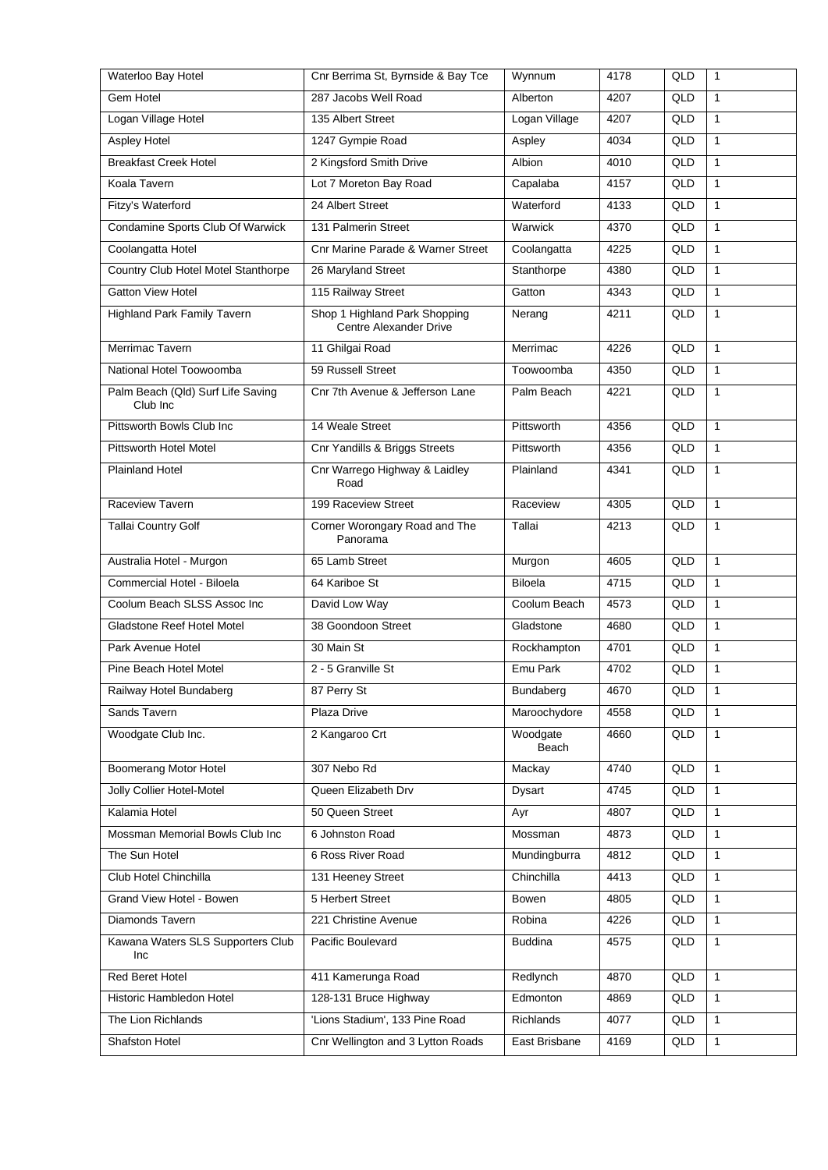| Waterloo Bay Hotel                            | Cnr Berrima St, Byrnside & Bay Tce                      | Wynnum            | 4178 | QLD | $\mathbf{1}$   |
|-----------------------------------------------|---------------------------------------------------------|-------------------|------|-----|----------------|
| Gem Hotel                                     | 287 Jacobs Well Road                                    | Alberton          | 4207 | QLD | $\mathbf{1}$   |
| Logan Village Hotel                           | 135 Albert Street                                       | Logan Village     | 4207 | QLD | $\mathbf{1}$   |
| <b>Aspley Hotel</b>                           | 1247 Gympie Road                                        | Aspley            | 4034 | QLD | $\mathbf{1}$   |
| <b>Breakfast Creek Hotel</b>                  | 2 Kingsford Smith Drive                                 | Albion            | 4010 | QLD | $\mathbf{1}$   |
| Koala Tavern                                  | Lot 7 Moreton Bay Road                                  | Capalaba          | 4157 | QLD | $\mathbf{1}$   |
| Fitzy's Waterford                             | 24 Albert Street                                        | Waterford         | 4133 | QLD | $\mathbf{1}$   |
| Condamine Sports Club Of Warwick              | 131 Palmerin Street                                     | Warwick           | 4370 | QLD | $\mathbf{1}$   |
| Coolangatta Hotel                             | Cnr Marine Parade & Warner Street                       | Coolangatta       | 4225 | QLD | $\mathbf{1}$   |
| Country Club Hotel Motel Stanthorpe           | 26 Maryland Street                                      | Stanthorpe        | 4380 | QLD | $\mathbf{1}$   |
| <b>Gatton View Hotel</b>                      | 115 Railway Street                                      | Gatton            | 4343 | QLD | $\mathbf{1}$   |
| Highland Park Family Tavern                   | Shop 1 Highland Park Shopping<br>Centre Alexander Drive | Nerang            | 4211 | QLD | $\mathbf{1}$   |
| Merrimac Tavern                               | 11 Ghilgai Road                                         | Merrimac          | 4226 | QLD | $\mathbf{1}$   |
| National Hotel Toowoomba                      | 59 Russell Street                                       | Toowoomba         | 4350 | QLD | $\mathbf{1}$   |
| Palm Beach (Qld) Surf Life Saving<br>Club Inc | Cnr 7th Avenue & Jefferson Lane                         | Palm Beach        | 4221 | QLD | $\mathbf{1}$   |
| Pittsworth Bowls Club Inc                     | 14 Weale Street                                         | Pittsworth        | 4356 | QLD | $\mathbf{1}$   |
| Pittsworth Hotel Motel                        | Cnr Yandills & Briggs Streets                           | Pittsworth        | 4356 | QLD | $\mathbf{1}$   |
| <b>Plainland Hotel</b>                        | Cnr Warrego Highway & Laidley<br>Road                   | Plainland         | 4341 | QLD | $\mathbf{1}$   |
| Raceview Tavern                               | 199 Raceview Street                                     | Raceview          | 4305 | QLD | $\mathbf{1}$   |
| <b>Tallai Country Golf</b>                    | Corner Worongary Road and The<br>Panorama               | Tallai            | 4213 | QLD | $\mathbf{1}$   |
| Australia Hotel - Murgon                      | 65 Lamb Street                                          | Murgon            | 4605 | QLD | $\mathbf{1}$   |
| Commercial Hotel - Biloela                    | 64 Kariboe St                                           | <b>Biloela</b>    | 4715 | QLD | $\mathbf{1}$   |
| Coolum Beach SLSS Assoc Inc                   | David Low Way                                           | Coolum Beach      | 4573 | QLD | $\mathbf{1}$   |
| Gladstone Reef Hotel Motel                    | 38 Goondoon Street                                      | Gladstone         | 4680 | QLD | $\mathbf{1}$   |
| Park Avenue Hotel                             | 30 Main St                                              | Rockhampton       | 4701 | QLD | $\mathbf{1}$   |
| Pine Beach Hotel Motel                        | 2 - 5 Granville St                                      | Emu Park          | 4702 | QLD | 1              |
| Railway Hotel Bundaberg                       | 87 Perry St                                             | Bundaberg         | 4670 | QLD | $\overline{1}$ |
| Sands Tavern                                  | Plaza Drive                                             | Maroochydore      | 4558 | QLD | $\mathbf{1}$   |
| Woodgate Club Inc.                            | 2 Kangaroo Crt                                          | Woodgate<br>Beach | 4660 | QLD | $\mathbf{1}$   |
| Boomerang Motor Hotel                         | 307 Nebo Rd                                             | Mackay            | 4740 | QLD | $\mathbf{1}$   |
| Jolly Collier Hotel-Motel                     | Queen Elizabeth Drv                                     | Dysart            | 4745 | QLD | $\mathbf{1}$   |
| Kalamia Hotel                                 | 50 Queen Street                                         | Ayr               | 4807 | QLD | $\mathbf{1}$   |
| Mossman Memorial Bowls Club Inc               | 6 Johnston Road                                         | Mossman           | 4873 | QLD | $\mathbf{1}$   |
| The Sun Hotel                                 | 6 Ross River Road                                       | Mundingburra      | 4812 | QLD | $\mathbf{1}$   |
| Club Hotel Chinchilla                         | 131 Heeney Street                                       | Chinchilla        | 4413 | QLD | $\mathbf{1}$   |
| Grand View Hotel - Bowen                      | 5 Herbert Street                                        | Bowen             | 4805 | QLD | $\mathbf{1}$   |
| Diamonds Tavern                               | 221 Christine Avenue                                    | Robina            | 4226 | QLD | $\mathbf{1}$   |
| Kawana Waters SLS Supporters Club<br>Inc      | Pacific Boulevard                                       | <b>Buddina</b>    | 4575 | QLD | 1              |
| Red Beret Hotel                               | 411 Kamerunga Road                                      | Redlynch          | 4870 | QLD | $\mathbf{1}$   |
| Historic Hambledon Hotel                      | 128-131 Bruce Highway                                   | Edmonton          | 4869 | QLD | $\mathbf{1}$   |
| The Lion Richlands                            | 'Lions Stadium', 133 Pine Road                          | <b>Richlands</b>  | 4077 | QLD | $\mathbf{1}$   |
| Shafston Hotel                                | Cnr Wellington and 3 Lytton Roads                       | East Brisbane     | 4169 | QLD | $\mathbf{1}$   |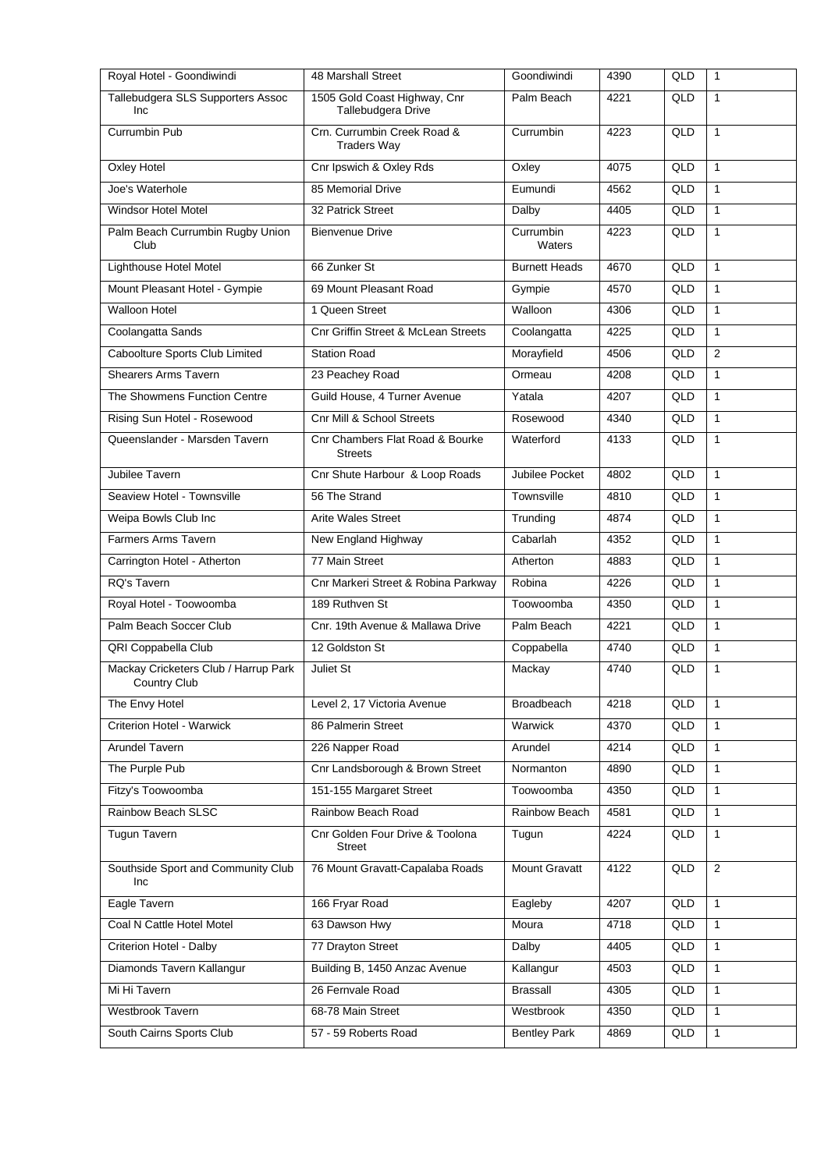| Royal Hotel - Goondiwindi                            | 48 Marshall Street                                 | Goondiwindi          | 4390 | QLD | $\mathbf{1}$   |
|------------------------------------------------------|----------------------------------------------------|----------------------|------|-----|----------------|
| Tallebudgera SLS Supporters Assoc<br>Inc             | 1505 Gold Coast Highway, Cnr<br>Tallebudgera Drive | Palm Beach           | 4221 | QLD | $\mathbf{1}$   |
| <b>Currumbin Pub</b>                                 | Crn. Currumbin Creek Road &<br><b>Traders Way</b>  | Currumbin            | 4223 | QLD | $\mathbf{1}$   |
| Oxley Hotel                                          | Cnr Ipswich & Oxley Rds                            | Oxley                | 4075 | QLD | $\mathbf{1}$   |
| Joe's Waterhole                                      | 85 Memorial Drive                                  | Eumundi              | 4562 | QLD | $\mathbf{1}$   |
| Windsor Hotel Motel                                  | 32 Patrick Street                                  | Dalby                | 4405 | QLD | $\mathbf{1}$   |
| Palm Beach Currumbin Rugby Union<br>Club             | <b>Bienvenue Drive</b>                             | Currumbin<br>Waters  | 4223 | QLD | $\mathbf{1}$   |
| Lighthouse Hotel Motel                               | 66 Zunker St                                       | <b>Burnett Heads</b> | 4670 | QLD | $\mathbf{1}$   |
| Mount Pleasant Hotel - Gympie                        | 69 Mount Pleasant Road                             | Gympie               | 4570 | QLD | $\mathbf{1}$   |
| Walloon Hotel                                        | 1 Queen Street                                     | Walloon              | 4306 | QLD | $\mathbf{1}$   |
| Coolangatta Sands                                    | Cnr Griffin Street & McLean Streets                | Coolangatta          | 4225 | QLD | $\mathbf{1}$   |
| Caboolture Sports Club Limited                       | <b>Station Road</b>                                | Morayfield           | 4506 | QLD | 2              |
| <b>Shearers Arms Tavern</b>                          | 23 Peachey Road                                    | Ormeau               | 4208 | QLD | $\mathbf{1}$   |
| The Showmens Function Centre                         | Guild House, 4 Turner Avenue                       | Yatala               | 4207 | QLD | $\mathbf{1}$   |
| Rising Sun Hotel - Rosewood                          | <b>Cnr Mill &amp; School Streets</b>               | Rosewood             | 4340 | QLD | $\mathbf{1}$   |
| Queenslander - Marsden Tavern                        | Cnr Chambers Flat Road & Bourke<br><b>Streets</b>  | Waterford            | 4133 | QLD | $\mathbf{1}$   |
| Jubilee Tavern                                       | Cnr Shute Harbour & Loop Roads                     | Jubilee Pocket       | 4802 | QLD | $\mathbf{1}$   |
| Seaview Hotel - Townsville                           | 56 The Strand                                      | Townsville           | 4810 | QLD | $\mathbf{1}$   |
| Weipa Bowls Club Inc                                 | <b>Arite Wales Street</b>                          | Trunding             | 4874 | QLD | $\mathbf{1}$   |
| Farmers Arms Tavern                                  | New England Highway                                | Cabarlah             | 4352 | QLD | $\mathbf{1}$   |
| Carrington Hotel - Atherton                          | 77 Main Street                                     | Atherton             | 4883 | QLD | $\mathbf{1}$   |
| RQ's Tavern                                          | Cnr Markeri Street & Robina Parkway                | Robina               | 4226 | QLD | $\mathbf{1}$   |
| Royal Hotel - Toowoomba                              | 189 Ruthven St                                     | Toowoomba            | 4350 | QLD | $\mathbf{1}$   |
| Palm Beach Soccer Club                               | Cnr. 19th Avenue & Mallawa Drive                   | Palm Beach           | 4221 | QLD | $\mathbf{1}$   |
| QRI Coppabella Club                                  | 12 Goldston St                                     | Coppabella           | 4740 | QLD | $\mathbf{1}$   |
| Mackay Cricketers Club / Harrup Park<br>Country Club | Juliet St                                          | Mackay               | 4740 | QLD | 1              |
| The Envy Hotel                                       | Level 2, 17 Victoria Avenue                        | Broadbeach           | 4218 | QLD | 1              |
| Criterion Hotel - Warwick                            | 86 Palmerin Street                                 | Warwick              | 4370 | QLD | $\mathbf{1}$   |
| Arundel Tavern                                       | 226 Napper Road                                    | Arundel              | 4214 | QLD | $\mathbf{1}$   |
| The Purple Pub                                       | Cnr Landsborough & Brown Street                    | Normanton            | 4890 | QLD | 1              |
| Fitzy's Toowoomba                                    | 151-155 Margaret Street                            | Toowoomba            | 4350 | QLD | $\mathbf{1}$   |
| Rainbow Beach SLSC                                   | Rainbow Beach Road                                 | Rainbow Beach        | 4581 | QLD | 1              |
| <b>Tugun Tavern</b>                                  | Cnr Golden Four Drive & Toolona<br><b>Street</b>   | Tugun                | 4224 | QLD | 1              |
| Southside Sport and Community Club<br>Inc            | 76 Mount Gravatt-Capalaba Roads                    | <b>Mount Gravatt</b> | 4122 | QLD | $\overline{2}$ |
| Eagle Tavern                                         | 166 Fryar Road                                     | Eagleby              | 4207 | QLD | $\mathbf{1}$   |
| Coal N Cattle Hotel Motel                            | 63 Dawson Hwy                                      | Moura                | 4718 | QLD | $\mathbf{1}$   |
| Criterion Hotel - Dalby                              | 77 Drayton Street                                  | Dalby                | 4405 | QLD | $\mathbf{1}$   |
| Diamonds Tavern Kallangur                            | Building B, 1450 Anzac Avenue                      | Kallangur            | 4503 | QLD | $\mathbf{1}$   |
| Mi Hi Tavern                                         | 26 Fernvale Road                                   | <b>Brassall</b>      | 4305 | QLD | $\mathbf{1}$   |
| Westbrook Tavern                                     | 68-78 Main Street                                  | Westbrook            | 4350 | QLD | $\mathbf{1}$   |
| South Cairns Sports Club                             | 57 - 59 Roberts Road                               | <b>Bentley Park</b>  | 4869 | QLD | $\mathbf{1}$   |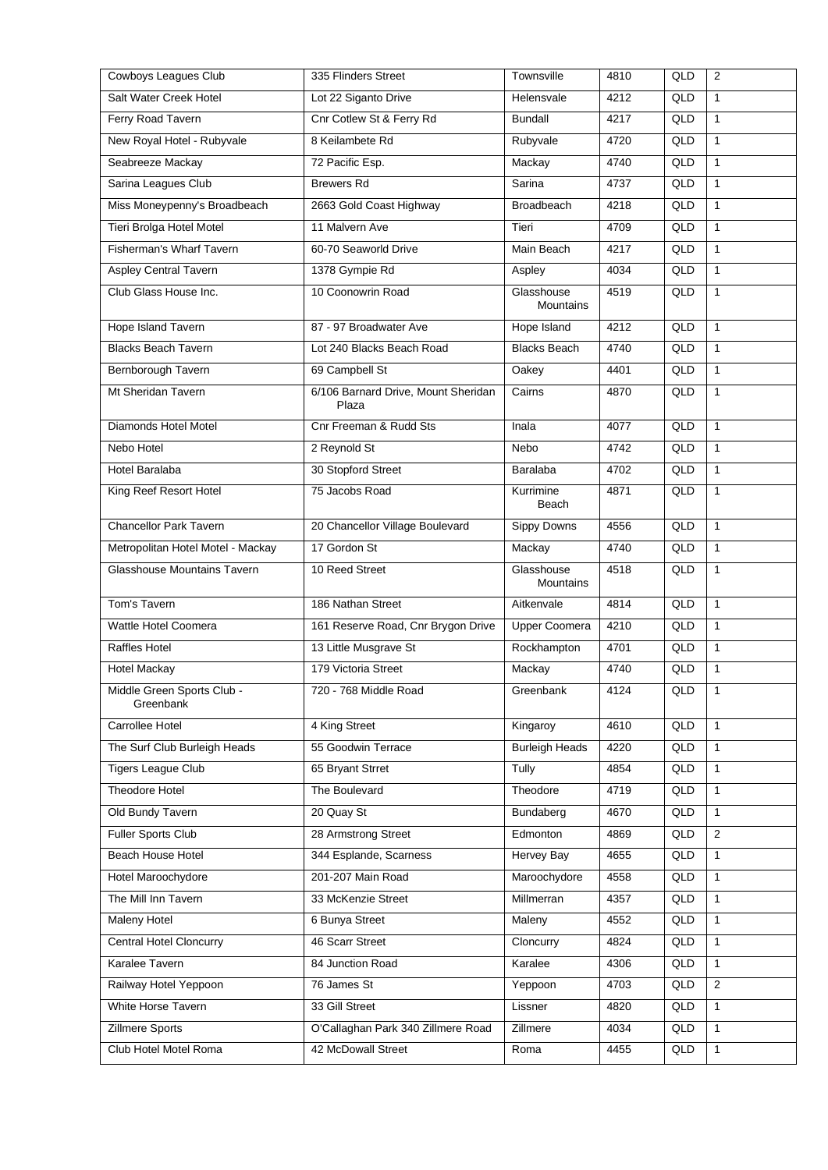| Cowboys Leagues Club                    | 335 Flinders Street                          | Townsville                     | 4810 | QLD | 2              |
|-----------------------------------------|----------------------------------------------|--------------------------------|------|-----|----------------|
| Salt Water Creek Hotel                  | Lot 22 Siganto Drive                         | Helensvale                     | 4212 | QLD | $\mathbf{1}$   |
| Ferry Road Tavern                       | Cnr Cotlew St & Ferry Rd                     | <b>Bundall</b>                 | 4217 | QLD | $\mathbf{1}$   |
| New Royal Hotel - Rubyvale              | 8 Keilambete Rd                              | Rubyvale                       | 4720 | QLD | $\mathbf{1}$   |
| Seabreeze Mackay                        | 72 Pacific Esp.                              | Mackay                         | 4740 | QLD | $\mathbf{1}$   |
| Sarina Leagues Club                     | <b>Brewers Rd</b>                            | Sarina                         | 4737 | QLD | $\mathbf{1}$   |
| Miss Moneypenny's Broadbeach            | 2663 Gold Coast Highway                      | <b>Broadbeach</b>              | 4218 | QLD | $\mathbf{1}$   |
| Tieri Brolga Hotel Motel                | 11 Malvern Ave                               | Tieri                          | 4709 | QLD | $\mathbf{1}$   |
| Fisherman's Wharf Tavern                | 60-70 Seaworld Drive                         | Main Beach                     | 4217 | QLD | $\mathbf{1}$   |
| <b>Aspley Central Tavern</b>            | 1378 Gympie Rd                               | Aspley                         | 4034 | QLD | $\mathbf{1}$   |
| Club Glass House Inc.                   | 10 Coonowrin Road                            | Glasshouse<br><b>Mountains</b> | 4519 | QLD | $\mathbf{1}$   |
| <b>Hope Island Tavern</b>               | 87 - 97 Broadwater Ave                       | Hope Island                    | 4212 | QLD | $\mathbf{1}$   |
| <b>Blacks Beach Tavern</b>              | Lot 240 Blacks Beach Road                    | <b>Blacks Beach</b>            | 4740 | QLD | $\mathbf{1}$   |
| Bernborough Tavern                      | 69 Campbell St                               | Oakey                          | 4401 | QLD | $\mathbf{1}$   |
| Mt Sheridan Tavern                      | 6/106 Barnard Drive, Mount Sheridan<br>Plaza | Cairns                         | 4870 | QLD | $\mathbf{1}$   |
| Diamonds Hotel Motel                    | Cnr Freeman & Rudd Sts                       | Inala                          | 4077 | QLD | $\mathbf{1}$   |
| Nebo Hotel                              | 2 Reynold St                                 | Nebo                           | 4742 | QLD | $\mathbf{1}$   |
| Hotel Baralaba                          | 30 Stopford Street                           | Baralaba                       | 4702 | QLD | 1              |
| King Reef Resort Hotel                  | 75 Jacobs Road                               | Kurrimine<br>Beach             | 4871 | QLD | $\mathbf{1}$   |
| <b>Chancellor Park Tavern</b>           | 20 Chancellor Village Boulevard              | Sippy Downs                    | 4556 | QLD | $\mathbf{1}$   |
| Metropolitan Hotel Motel - Mackay       | 17 Gordon St                                 | Mackay                         | 4740 | QLD | $\mathbf{1}$   |
| <b>Glasshouse Mountains Tavern</b>      | 10 Reed Street                               | Glasshouse<br>Mountains        | 4518 | QLD | $\mathbf{1}$   |
| Tom's Tavern                            | 186 Nathan Street                            | Aitkenvale                     | 4814 | QLD | $\mathbf{1}$   |
| Wattle Hotel Coomera                    | 161 Reserve Road, Cnr Brygon Drive           | <b>Upper Coomera</b>           | 4210 | QLD | $\mathbf{1}$   |
| <b>Raffles Hotel</b>                    | 13 Little Musgrave St                        | Rockhampton                    | 4701 | QLD | $\mathbf{1}$   |
| Hotel Mackay                            | 179 Victoria Street                          | Mackay                         | 4740 | QLD | 1              |
| Middle Green Sports Club -<br>Greenbank | 720 - 768 Middle Road                        | Greenbank                      | 4124 | QLD | $\overline{1}$ |
| Carrollee Hotel                         | 4 King Street                                | Kingaroy                       | 4610 | QLD | $\mathbf{1}$   |
| The Surf Club Burleigh Heads            | 55 Goodwin Terrace                           | <b>Burleigh Heads</b>          | 4220 | QLD | 1              |
| <b>Tigers League Club</b>               | 65 Bryant Strret                             | Tully                          | 4854 | QLD | $\mathbf{1}$   |
| <b>Theodore Hotel</b>                   | The Boulevard                                | Theodore                       | 4719 | QLD | $\mathbf{1}$   |
| Old Bundy Tavern                        | 20 Quay St                                   | Bundaberg                      | 4670 | QLD | 1              |
| <b>Fuller Sports Club</b>               | 28 Armstrong Street                          | Edmonton                       | 4869 | QLD | 2              |
| Beach House Hotel                       | 344 Esplande, Scarness                       | <b>Hervey Bay</b>              | 4655 | QLD | 1              |
| Hotel Maroochydore                      | 201-207 Main Road                            | Maroochydore                   | 4558 | QLD | $\mathbf{1}$   |
| The Mill Inn Tavern                     | 33 McKenzie Street                           | Millmerran                     | 4357 | QLD | $\mathbf{1}$   |
| Maleny Hotel                            | 6 Bunya Street                               | Maleny                         | 4552 | QLD | 1              |
| <b>Central Hotel Cloncurry</b>          | 46 Scarr Street                              | Cloncurry                      | 4824 | QLD | $\mathbf{1}$   |
| Karalee Tavern                          | 84 Junction Road                             | Karalee                        | 4306 | QLD | 1              |
| Railway Hotel Yeppoon                   | 76 James St                                  | Yeppoon                        | 4703 | QLD | 2              |
| White Horse Tavern                      | 33 Gill Street                               | Lissner                        | 4820 | QLD | 1              |
| Zillmere Sports                         | O'Callaghan Park 340 Zillmere Road           | Zillmere                       | 4034 | QLD | 1              |
| Club Hotel Motel Roma                   | 42 McDowall Street                           | Roma                           | 4455 | QLD | $\mathbf{1}$   |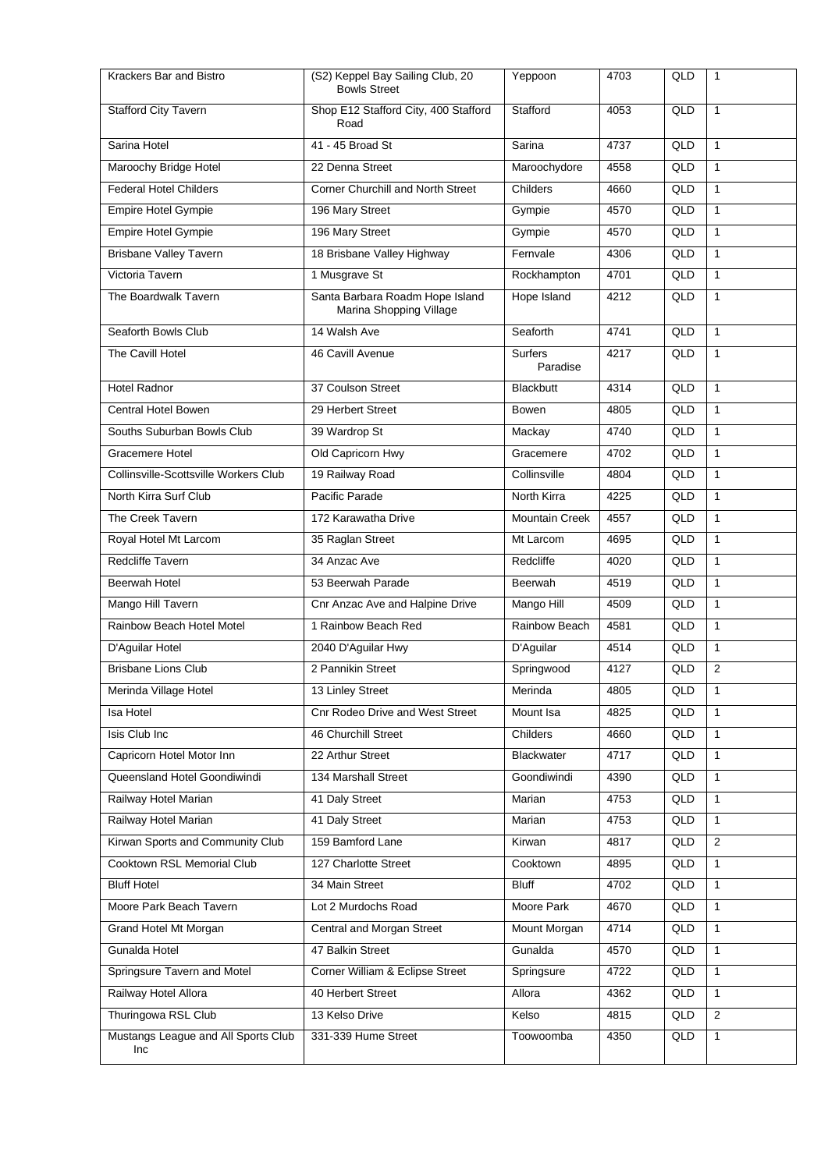| Krackers Bar and Bistro                    | (S2) Keppel Bay Sailing Club, 20<br><b>Bowls Street</b>    | Yeppoon                    | 4703 | QLD | 1              |
|--------------------------------------------|------------------------------------------------------------|----------------------------|------|-----|----------------|
| <b>Stafford City Tavern</b>                | Shop E12 Stafford City, 400 Stafford<br>Road               | Stafford                   | 4053 | QLD | $\mathbf{1}$   |
| Sarina Hotel                               | 41 - 45 Broad St                                           | Sarina                     | 4737 | QLD | $\mathbf{1}$   |
| Maroochy Bridge Hotel                      | 22 Denna Street                                            | Maroochydore               | 4558 | QLD | $\mathbf{1}$   |
| <b>Federal Hotel Childers</b>              | Corner Churchill and North Street                          | Childers                   | 4660 | QLD | $\mathbf{1}$   |
| Empire Hotel Gympie                        | 196 Mary Street                                            | Gympie                     | 4570 | QLD | $\mathbf{1}$   |
| <b>Empire Hotel Gympie</b>                 | 196 Mary Street                                            | Gympie                     | 4570 | QLD | $\mathbf{1}$   |
| <b>Brisbane Valley Tavern</b>              | 18 Brisbane Valley Highway                                 | Fernvale                   | 4306 | QLD | $\mathbf{1}$   |
| Victoria Tavern                            | 1 Musgrave St                                              | Rockhampton                | 4701 | QLD | $\mathbf{1}$   |
| The Boardwalk Tavern                       | Santa Barbara Roadm Hope Island<br>Marina Shopping Village | Hope Island                | 4212 | QLD | $\mathbf{1}$   |
| Seaforth Bowls Club                        | 14 Walsh Ave                                               | Seaforth                   | 4741 | QLD | $\mathbf{1}$   |
| The Cavill Hotel                           | 46 Cavill Avenue                                           | <b>Surfers</b><br>Paradise | 4217 | QLD | $\mathbf{1}$   |
| <b>Hotel Radnor</b>                        | 37 Coulson Street                                          | <b>Blackbutt</b>           | 4314 | QLD | $\mathbf{1}$   |
| Central Hotel Bowen                        | 29 Herbert Street                                          | Bowen                      | 4805 | QLD | $\mathbf{1}$   |
| Souths Suburban Bowls Club                 | 39 Wardrop St                                              | Mackay                     | 4740 | QLD | $\mathbf{1}$   |
| Gracemere Hotel                            | Old Capricorn Hwy                                          | Gracemere                  | 4702 | QLD | 1              |
| Collinsville-Scottsville Workers Club      | 19 Railway Road                                            | Collinsville               | 4804 | QLD | $\mathbf{1}$   |
| North Kirra Surf Club                      | Pacific Parade                                             | North Kirra                | 4225 | QLD | $\mathbf{1}$   |
| The Creek Tavern                           | 172 Karawatha Drive                                        | <b>Mountain Creek</b>      | 4557 | QLD | $\mathbf{1}$   |
| Royal Hotel Mt Larcom                      | 35 Raglan Street                                           | Mt Larcom                  | 4695 | QLD | $\mathbf{1}$   |
| Redcliffe Tavern                           | 34 Anzac Ave                                               | Redcliffe                  | 4020 | QLD | $\mathbf{1}$   |
| Beerwah Hotel                              | 53 Beerwah Parade                                          | Beerwah                    | 4519 | QLD | $\mathbf{1}$   |
| Mango Hill Tavern                          | Cnr Anzac Ave and Halpine Drive                            | Mango Hill                 | 4509 | QLD | $\mathbf{1}$   |
| Rainbow Beach Hotel Motel                  | 1 Rainbow Beach Red                                        | Rainbow Beach              | 4581 | QLD | $\mathbf{1}$   |
| D'Aguilar Hotel                            | 2040 D'Aguilar Hwy                                         | D'Aguilar                  | 4514 | QLD | $\mathbf{1}$   |
| <b>Brisbane Lions Club</b>                 | 2 Pannikin Street                                          | Springwood                 | 4127 | QLD | $\overline{2}$ |
| Merinda Village Hotel                      | 13 Linley Street                                           | Merinda                    | 4805 | QLD | $\mathbf{1}$   |
| Isa Hotel                                  | <b>Cnr Rodeo Drive and West Street</b>                     | Mount Isa                  | 4825 | QLD | 1              |
| Isis Club Inc                              | 46 Churchill Street                                        | Childers                   | 4660 | QLD | $\mathbf{1}$   |
| Capricorn Hotel Motor Inn                  | 22 Arthur Street                                           | <b>Blackwater</b>          | 4717 | QLD | $\mathbf{1}$   |
| Queensland Hotel Goondiwindi               | 134 Marshall Street                                        | Goondiwindi                | 4390 | QLD | $\mathbf{1}$   |
| Railway Hotel Marian                       | 41 Daly Street                                             | Marian                     | 4753 | QLD | $\mathbf{1}$   |
| Railway Hotel Marian                       | 41 Daly Street                                             | Marian                     | 4753 | QLD | $\mathbf{1}$   |
| Kirwan Sports and Community Club           | 159 Bamford Lane                                           | Kirwan                     | 4817 | QLD | 2              |
| Cooktown RSL Memorial Club                 | 127 Charlotte Street                                       | Cooktown                   | 4895 | QLD | $\mathbf{1}$   |
| <b>Bluff Hotel</b>                         | 34 Main Street                                             | <b>Bluff</b>               | 4702 | QLD | $\mathbf{1}$   |
| Moore Park Beach Tavern                    | Lot 2 Murdochs Road                                        | Moore Park                 | 4670 | QLD | $\mathbf{1}$   |
| Grand Hotel Mt Morgan                      | Central and Morgan Street                                  | Mount Morgan               | 4714 | QLD | $\mathbf{1}$   |
| Gunalda Hotel                              | 47 Balkin Street                                           | Gunalda                    | 4570 | QLD | 1              |
| Springsure Tavern and Motel                | Corner William & Eclipse Street                            | Springsure                 | 4722 | QLD | $\mathbf{1}$   |
| Railway Hotel Allora                       | 40 Herbert Street                                          | Allora                     | 4362 | QLD | $\mathbf{1}$   |
| Thuringowa RSL Club                        | 13 Kelso Drive                                             | Kelso                      | 4815 | QLD | 2              |
| Mustangs League and All Sports Club<br>Inc | 331-339 Hume Street                                        | Toowoomba                  | 4350 | QLD | $\mathbf{1}$   |
|                                            |                                                            |                            |      |     |                |